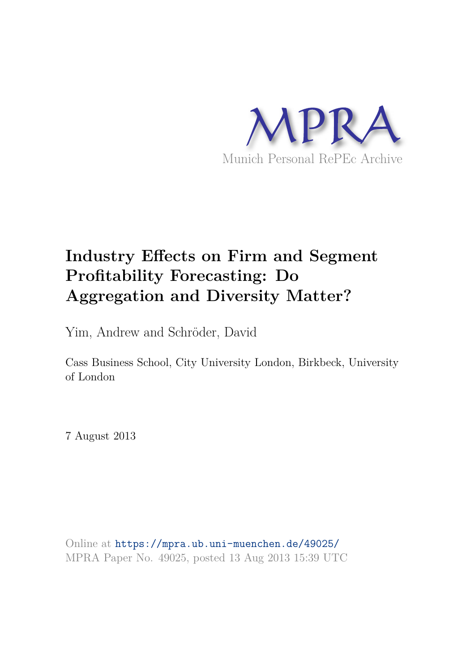

# **Industry Effects on Firm and Segment Profitability Forecasting: Do Aggregation and Diversity Matter?**

Yim, Andrew and Schröder, David

Cass Business School, City University London, Birkbeck, University of London

7 August 2013

Online at https://mpra.ub.uni-muenchen.de/49025/ MPRA Paper No. 49025, posted 13 Aug 2013 15:39 UTC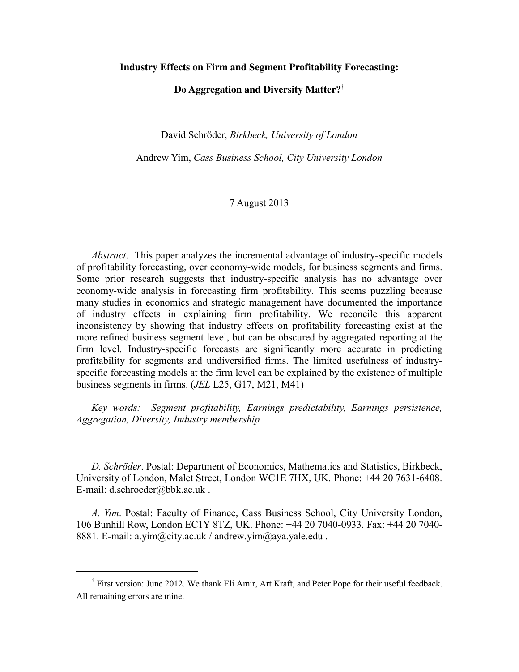## **Industry Effects on Firm and Segment Profitability Forecasting:**

## **Do Aggregation and Diversity Matter?**†

David Schröder, *Birkbeck, University of London*

Andrew Yim, *Cass Business School, City University London*

# 7 August 2013

*Abstract*. This paper analyzes the incremental advantage of industry-specific models of profitability forecasting, over economy-wide models, for business segments and firms. Some prior research suggests that industry-specific analysis has no advantage over economy-wide analysis in forecasting firm profitability. This seems puzzling because many studies in economics and strategic management have documented the importance of industry effects in explaining firm profitability. We reconcile this apparent inconsistency by showing that industry effects on profitability forecasting exist at the more refined business segment level, but can be obscured by aggregated reporting at the firm level. Industry-specific forecasts are significantly more accurate in predicting profitability for segments and undiversified firms. The limited usefulness of industryspecific forecasting models at the firm level can be explained by the existence of multiple business segments in firms. (*JEL* L25, G17, M21, M41)

*Key words: Segment profitability, Earnings predictability, Earnings persistence, Aggregation, Diversity, Industry membership* 

*D. Schröder*. Postal: Department of Economics, Mathematics and Statistics, Birkbeck, University of London, Malet Street, London WC1E 7HX, UK. Phone: +44 20 7631-6408. E-mail: d.schroeder@bbk.ac.uk .

*A. Yim*. Postal: Faculty of Finance, Cass Business School, City University London, 106 Bunhill Row, London EC1Y 8TZ, UK. Phone: +44 20 7040-0933. Fax: +44 20 7040- 8881. E-mail: a.yim@city.ac.uk / andrew.yim@aya.yale.edu.

<sup>†</sup> First version: June 2012. We thank Eli Amir, Art Kraft, and Peter Pope for their useful feedback. All remaining errors are mine.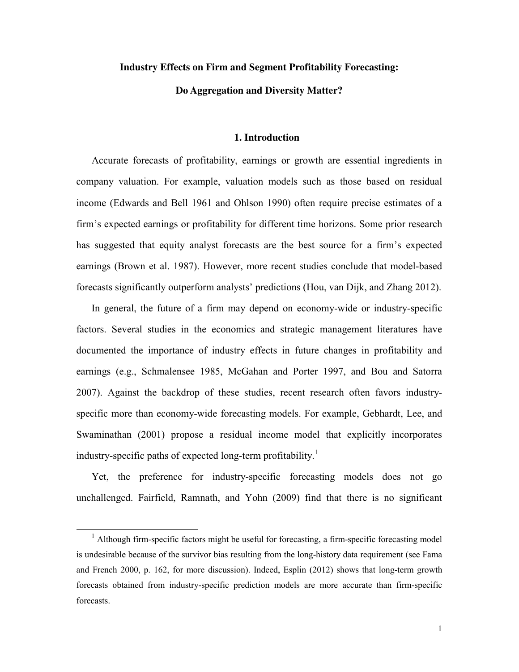## **Industry Effects on Firm and Segment Profitability Forecasting:**

# **Do Aggregation and Diversity Matter?**

#### **1. Introduction**

Accurate forecasts of profitability, earnings or growth are essential ingredients in company valuation. For example, valuation models such as those based on residual income (Edwards and Bell 1961 and Ohlson 1990) often require precise estimates of a firm's expected earnings or profitability for different time horizons. Some prior research has suggested that equity analyst forecasts are the best source for a firm's expected earnings (Brown et al. 1987). However, more recent studies conclude that model-based forecasts significantly outperform analysts' predictions (Hou, van Dijk, and Zhang 2012).

In general, the future of a firm may depend on economy-wide or industry-specific factors. Several studies in the economics and strategic management literatures have documented the importance of industry effects in future changes in profitability and earnings (e.g., Schmalensee 1985, McGahan and Porter 1997, and Bou and Satorra 2007). Against the backdrop of these studies, recent research often favors industryspecific more than economy-wide forecasting models. For example, Gebhardt, Lee, and Swaminathan (2001) propose a residual income model that explicitly incorporates industry-specific paths of expected long-term profitability.<sup>1</sup>

Yet, the preference for industry-specific forecasting models does not go unchallenged. Fairfield, Ramnath, and Yohn (2009) find that there is no significant

<sup>&</sup>lt;sup>1</sup> Although firm-specific factors might be useful for forecasting, a firm-specific forecasting model is undesirable because of the survivor bias resulting from the long-history data requirement (see Fama and French 2000, p. 162, for more discussion). Indeed, Esplin (2012) shows that long-term growth forecasts obtained from industry-specific prediction models are more accurate than firm-specific forecasts.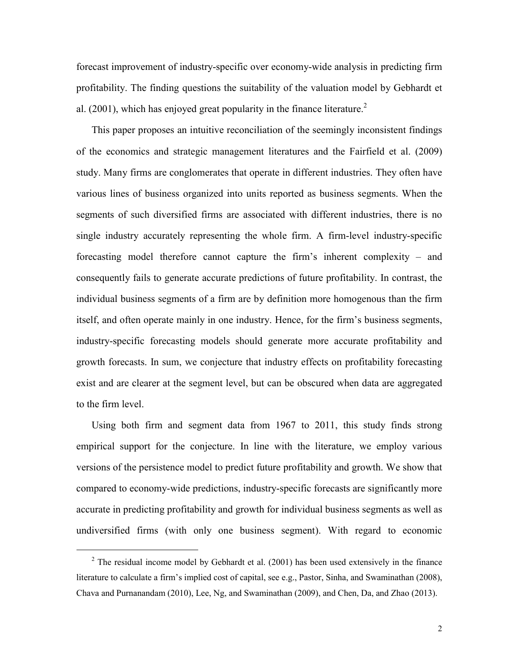forecast improvement of industry-specific over economy-wide analysis in predicting firm profitability. The finding questions the suitability of the valuation model by Gebhardt et al. (2001), which has enjoyed great popularity in the finance literature.<sup>2</sup>

This paper proposes an intuitive reconciliation of the seemingly inconsistent findings of the economics and strategic management literatures and the Fairfield et al. (2009) study. Many firms are conglomerates that operate in different industries. They often have various lines of business organized into units reported as business segments. When the segments of such diversified firms are associated with different industries, there is no single industry accurately representing the whole firm. A firm-level industry-specific forecasting model therefore cannot capture the firm's inherent complexity – and consequently fails to generate accurate predictions of future profitability. In contrast, the individual business segments of a firm are by definition more homogenous than the firm itself, and often operate mainly in one industry. Hence, for the firm's business segments, industry-specific forecasting models should generate more accurate profitability and growth forecasts. In sum, we conjecture that industry effects on profitability forecasting exist and are clearer at the segment level, but can be obscured when data are aggregated to the firm level.

Using both firm and segment data from 1967 to 2011, this study finds strong empirical support for the conjecture. In line with the literature, we employ various versions of the persistence model to predict future profitability and growth. We show that compared to economy-wide predictions, industry-specific forecasts are significantly more accurate in predicting profitability and growth for individual business segments as well as undiversified firms (with only one business segment). With regard to economic

 $\ddot{\phantom{a}}$ 

 $2^2$  The residual income model by Gebhardt et al. (2001) has been used extensively in the finance literature to calculate a firm's implied cost of capital, see e.g., Pastor, Sinha, and Swaminathan (2008), Chava and Purnanandam (2010), Lee, Ng, and Swaminathan (2009), and Chen, Da, and Zhao (2013).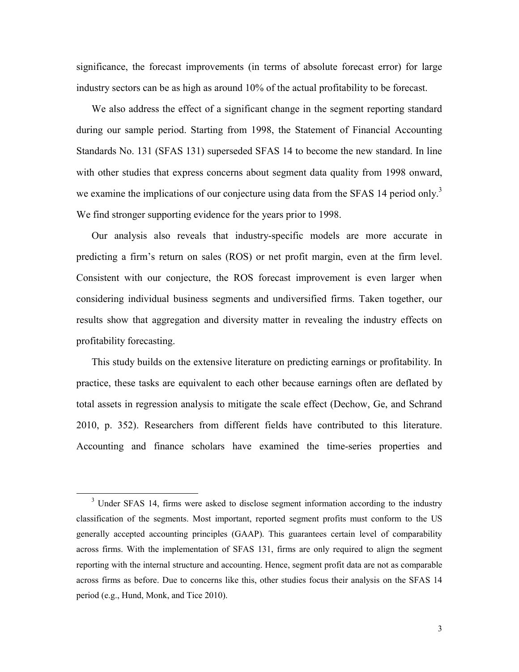significance, the forecast improvements (in terms of absolute forecast error) for large industry sectors can be as high as around 10% of the actual profitability to be forecast.

We also address the effect of a significant change in the segment reporting standard during our sample period. Starting from 1998, the Statement of Financial Accounting Standards No. 131 (SFAS 131) superseded SFAS 14 to become the new standard. In line with other studies that express concerns about segment data quality from 1998 onward, we examine the implications of our conjecture using data from the SFAS 14 period only.<sup>3</sup> We find stronger supporting evidence for the years prior to 1998.

Our analysis also reveals that industry-specific models are more accurate in predicting a firm's return on sales (ROS) or net profit margin, even at the firm level. Consistent with our conjecture, the ROS forecast improvement is even larger when considering individual business segments and undiversified firms. Taken together, our results show that aggregation and diversity matter in revealing the industry effects on profitability forecasting.

This study builds on the extensive literature on predicting earnings or profitability. In practice, these tasks are equivalent to each other because earnings often are deflated by total assets in regression analysis to mitigate the scale effect (Dechow, Ge, and Schrand 2010, p. 352). Researchers from different fields have contributed to this literature. Accounting and finance scholars have examined the time-series properties and

<sup>&</sup>lt;sup>3</sup> Under SFAS 14, firms were asked to disclose segment information according to the industry classification of the segments. Most important, reported segment profits must conform to the US generally accepted accounting principles (GAAP). This guarantees certain level of comparability across firms. With the implementation of SFAS 131, firms are only required to align the segment reporting with the internal structure and accounting. Hence, segment profit data are not as comparable across firms as before. Due to concerns like this, other studies focus their analysis on the SFAS 14 period (e.g., Hund, Monk, and Tice 2010).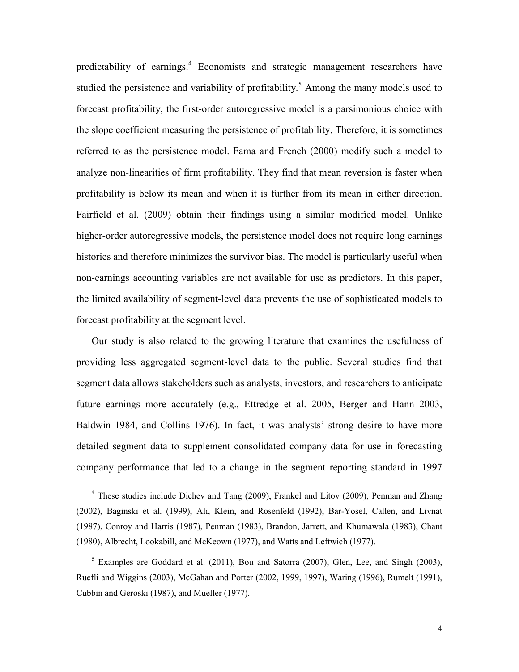predictability of earnings.<sup>4</sup> Economists and strategic management researchers have studied the persistence and variability of profitability.<sup>5</sup> Among the many models used to forecast profitability, the first-order autoregressive model is a parsimonious choice with the slope coefficient measuring the persistence of profitability. Therefore, it is sometimes referred to as the persistence model. Fama and French (2000) modify such a model to analyze non-linearities of firm profitability. They find that mean reversion is faster when profitability is below its mean and when it is further from its mean in either direction. Fairfield et al. (2009) obtain their findings using a similar modified model. Unlike higher-order autoregressive models, the persistence model does not require long earnings histories and therefore minimizes the survivor bias. The model is particularly useful when non-earnings accounting variables are not available for use as predictors. In this paper, the limited availability of segment-level data prevents the use of sophisticated models to forecast profitability at the segment level.

Our study is also related to the growing literature that examines the usefulness of providing less aggregated segment-level data to the public. Several studies find that segment data allows stakeholders such as analysts, investors, and researchers to anticipate future earnings more accurately (e.g., Ettredge et al. 2005, Berger and Hann 2003, Baldwin 1984, and Collins 1976). In fact, it was analysts' strong desire to have more detailed segment data to supplement consolidated company data for use in forecasting company performance that led to a change in the segment reporting standard in 1997

<sup>&</sup>lt;sup>4</sup> These studies include Dichev and Tang (2009), Frankel and Litov (2009), Penman and Zhang (2002), Baginski et al. (1999), Ali, Klein, and Rosenfeld (1992), Bar-Yosef, Callen, and Livnat (1987), Conroy and Harris (1987), Penman (1983), Brandon, Jarrett, and Khumawala (1983), Chant (1980), Albrecht, Lookabill, and McKeown (1977), and Watts and Leftwich (1977).

 $<sup>5</sup>$  Examples are Goddard et al. (2011), Bou and Satorra (2007), Glen, Lee, and Singh (2003),</sup> Ruefli and Wiggins (2003), McGahan and Porter (2002, 1999, 1997), Waring (1996), Rumelt (1991), Cubbin and Geroski (1987), and Mueller (1977).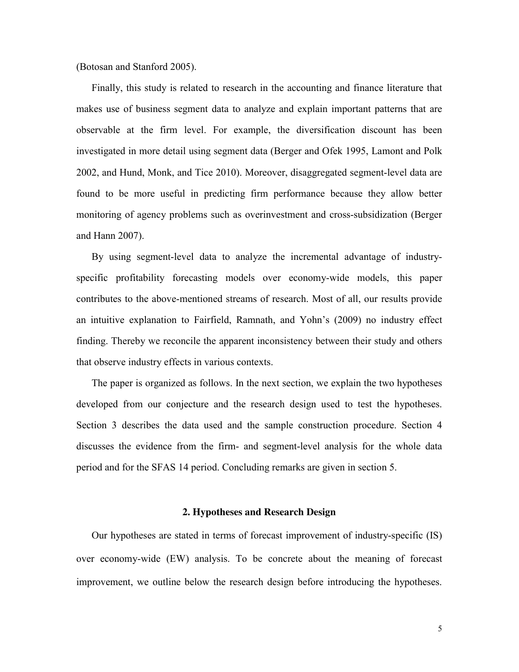(Botosan and Stanford 2005).

Finally, this study is related to research in the accounting and finance literature that makes use of business segment data to analyze and explain important patterns that are observable at the firm level. For example, the diversification discount has been investigated in more detail using segment data (Berger and Ofek 1995, Lamont and Polk 2002, and Hund, Monk, and Tice 2010). Moreover, disaggregated segment-level data are found to be more useful in predicting firm performance because they allow better monitoring of agency problems such as overinvestment and cross-subsidization (Berger and Hann 2007).

By using segment-level data to analyze the incremental advantage of industryspecific profitability forecasting models over economy-wide models, this paper contributes to the above-mentioned streams of research. Most of all, our results provide an intuitive explanation to Fairfield, Ramnath, and Yohn's (2009) no industry effect finding. Thereby we reconcile the apparent inconsistency between their study and others that observe industry effects in various contexts.

The paper is organized as follows. In the next section, we explain the two hypotheses developed from our conjecture and the research design used to test the hypotheses. Section 3 describes the data used and the sample construction procedure. Section 4 discusses the evidence from the firm- and segment-level analysis for the whole data period and for the SFAS 14 period. Concluding remarks are given in section 5.

#### **2. Hypotheses and Research Design**

Our hypotheses are stated in terms of forecast improvement of industry-specific (IS) over economy-wide (EW) analysis. To be concrete about the meaning of forecast improvement, we outline below the research design before introducing the hypotheses.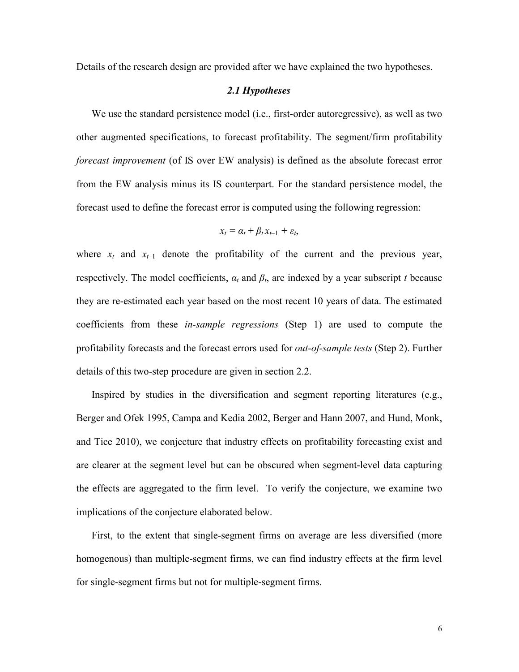Details of the research design are provided after we have explained the two hypotheses.

#### *2.1 Hypotheses*

We use the standard persistence model (i.e., first-order autoregressive), as well as two other augmented specifications, to forecast profitability. The segment/firm profitability *forecast improvement* (of IS over EW analysis) is defined as the absolute forecast error from the EW analysis minus its IS counterpart. For the standard persistence model, the forecast used to define the forecast error is computed using the following regression:

$$
x_t = \alpha_t + \beta_t x_{t-1} + \varepsilon_t,
$$

where  $x_t$  and  $x_{t-1}$  denote the profitability of the current and the previous year, respectively. The model coefficients,  $\alpha_t$  and  $\beta_t$ , are indexed by a year subscript *t* because they are re-estimated each year based on the most recent 10 years of data. The estimated coefficients from these *in-sample regressions* (Step 1) are used to compute the profitability forecasts and the forecast errors used for *out-of-sample tests* (Step 2). Further details of this two-step procedure are given in section 2.2.

Inspired by studies in the diversification and segment reporting literatures (e.g., Berger and Ofek 1995, Campa and Kedia 2002, Berger and Hann 2007, and Hund, Monk, and Tice 2010), we conjecture that industry effects on profitability forecasting exist and are clearer at the segment level but can be obscured when segment-level data capturing the effects are aggregated to the firm level. To verify the conjecture, we examine two implications of the conjecture elaborated below.

First, to the extent that single-segment firms on average are less diversified (more homogenous) than multiple-segment firms, we can find industry effects at the firm level for single-segment firms but not for multiple-segment firms.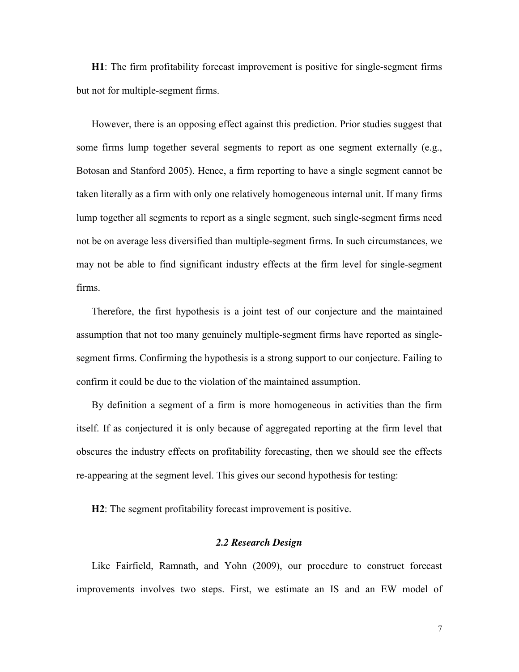**H1**: The firm profitability forecast improvement is positive for single-segment firms but not for multiple-segment firms.

However, there is an opposing effect against this prediction. Prior studies suggest that some firms lump together several segments to report as one segment externally (e.g., Botosan and Stanford 2005). Hence, a firm reporting to have a single segment cannot be taken literally as a firm with only one relatively homogeneous internal unit. If many firms lump together all segments to report as a single segment, such single-segment firms need not be on average less diversified than multiple-segment firms. In such circumstances, we may not be able to find significant industry effects at the firm level for single-segment firms.

Therefore, the first hypothesis is a joint test of our conjecture and the maintained assumption that not too many genuinely multiple-segment firms have reported as singlesegment firms. Confirming the hypothesis is a strong support to our conjecture. Failing to confirm it could be due to the violation of the maintained assumption.

By definition a segment of a firm is more homogeneous in activities than the firm itself. If as conjectured it is only because of aggregated reporting at the firm level that obscures the industry effects on profitability forecasting, then we should see the effects re-appearing at the segment level. This gives our second hypothesis for testing:

**H2**: The segment profitability forecast improvement is positive.

# *2.2 Research Design*

Like Fairfield, Ramnath, and Yohn (2009), our procedure to construct forecast improvements involves two steps. First, we estimate an IS and an EW model of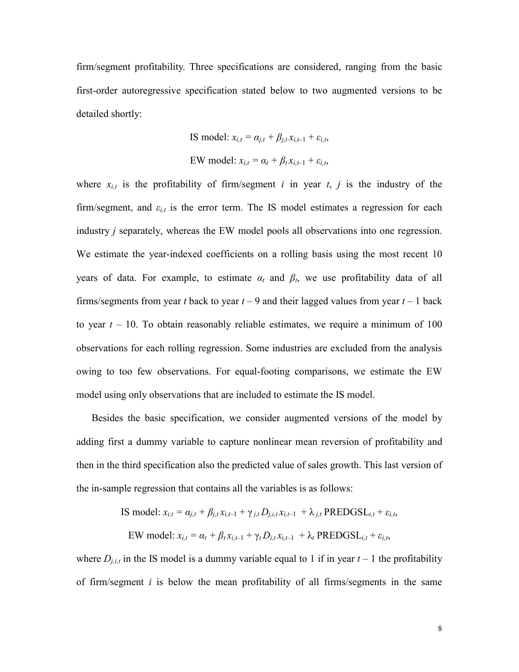firm/segment profitability. Three specifications are considered, ranging from the basic first-order autoregressive specification stated below to two augmented versions to be detailed shortly:

IS model: 
$$
x_{i,t} = \alpha_{j,t} + \beta_{j,t} x_{i,t-1} + \varepsilon_{i,t}
$$
,  
EW model:  $x_{i,t} = \alpha_t + \beta_t x_{i,t-1} + \varepsilon_{i,t}$ ,

where  $x_{i,t}$  is the profitability of firm/segment *i* in year *t*, *j* is the industry of the firm/segment, and  $\varepsilon_{i,t}$  is the error term. The IS model estimates a regression for each industry *j* separately, whereas the EW model pools all observations into one regression. We estimate the year-indexed coefficients on a rolling basis using the most recent 10 years of data. For example, to estimate  $\alpha_t$  and  $\beta_t$ , we use profitability data of all firms/segments from year *t* back to year  $t - 9$  and their lagged values from year  $t - 1$  back to year  $t - 10$ . To obtain reasonably reliable estimates, we require a minimum of 100 observations for each rolling regression. Some industries are excluded from the analysis owing to too few observations. For equal-footing comparisons, we estimate the EW model using only observations that are included to estimate the IS model.

Besides the basic specification, we consider augmented versions of the model by adding first a dummy variable to capture nonlinear mean reversion of profitability and then in the third specification also the predicted value of sales growth. This last version of the in-sample regression that contains all the variables is as follows:

IS model: 
$$
x_{i,t} = \alpha_{j,t} + \beta_{j,t} x_{i,t-1} + \gamma_{j,t} D_{j,i,t} x_{i,t-1} + \lambda_{j,t}
$$
 PREDGSL<sub>i,t</sub> +  $\varepsilon_{i,t}$ ,  
EW model:  $x_{i,t} = \alpha_t + \beta_t x_{i,t-1} + \gamma_t D_{i,t} x_{i,t-1} + \lambda_t$  PREDGSL<sub>i,t</sub> +  $\varepsilon_{i,t}$ ,

where  $D_{j,i,t}$  in the IS model is a dummy variable equal to 1 if in year  $t-1$  the profitability of firm/segment *i* is below the mean profitability of all firms/segments in the same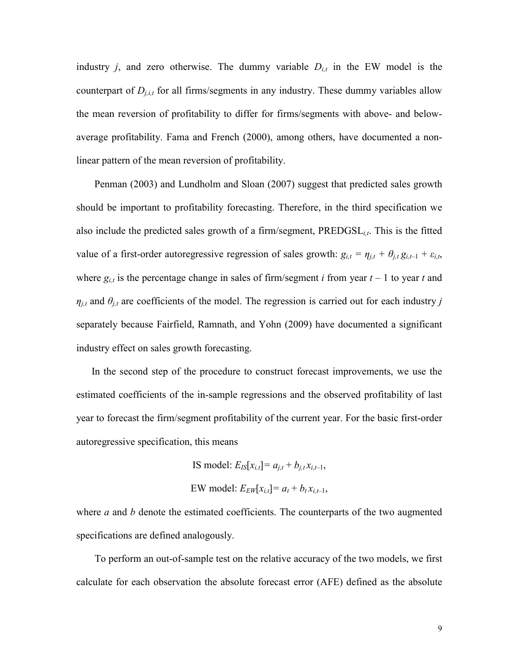industry *j*, and zero otherwise. The dummy variable  $D_{i,t}$  in the EW model is the counterpart of  $D_{i,i,t}$  for all firms/segments in any industry. These dummy variables allow the mean reversion of profitability to differ for firms/segments with above- and belowaverage profitability. Fama and French (2000), among others, have documented a nonlinear pattern of the mean reversion of profitability.

Penman (2003) and Lundholm and Sloan (2007) suggest that predicted sales growth should be important to profitability forecasting. Therefore, in the third specification we also include the predicted sales growth of a firm/segment, PREDGSL*i,t*. This is the fitted value of a first-order autoregressive regression of sales growth:  $g_{i,t} = \eta_{j,t} + \theta_{j,t} g_{i,t-1} + \varepsilon_{i,t}$ , where  $g_{i,t}$  is the percentage change in sales of firm/segment *i* from year  $t - 1$  to year *t* and  $\eta_{j,t}$  and  $\theta_{j,t}$  are coefficients of the model. The regression is carried out for each industry *j* separately because Fairfield, Ramnath, and Yohn (2009) have documented a significant industry effect on sales growth forecasting.

In the second step of the procedure to construct forecast improvements, we use the estimated coefficients of the in-sample regressions and the observed profitability of last year to forecast the firm/segment profitability of the current year. For the basic first-order autoregressive specification, this means

> IS model:  $E_{IS}[x_{i,t}] = a_{i,t} + b_{i,t}x_{i,t-1}$ , EW model:  $E_{EW}[x_{i,t}] = a_t + b_t x_{i,t-1}$ ,

where *a* and *b* denote the estimated coefficients. The counterparts of the two augmented specifications are defined analogously.

To perform an out-of-sample test on the relative accuracy of the two models, we first calculate for each observation the absolute forecast error (AFE) defined as the absolute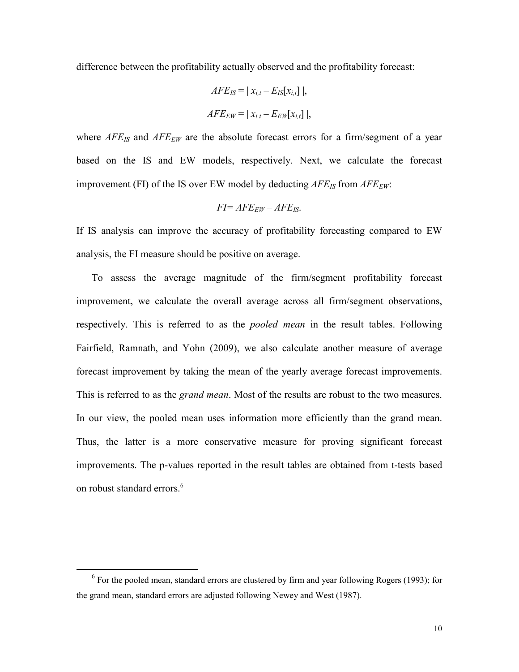difference between the profitability actually observed and the profitability forecast:

$$
AFE_{IS} = | x_{i,t} - E_{IS}[x_{i,t}] |,
$$
  

$$
AFE_{EW} = | x_{i,t} - E_{EW}[x_{i,t}] |,
$$

where *AFE<sub>IS</sub>* and *AFE<sub>EW</sub>* are the absolute forecast errors for a firm/segment of a year based on the IS and EW models, respectively. Next, we calculate the forecast improvement (FI) of the IS over EW model by deducting  $AFE_{IS}$  from  $AFE_{EW}$ .

$$
FI = AFE_{EW} - AFE_{IS}.
$$

If IS analysis can improve the accuracy of profitability forecasting compared to EW analysis, the FI measure should be positive on average.

To assess the average magnitude of the firm/segment profitability forecast improvement, we calculate the overall average across all firm/segment observations, respectively. This is referred to as the *pooled mean* in the result tables. Following Fairfield, Ramnath, and Yohn (2009), we also calculate another measure of average forecast improvement by taking the mean of the yearly average forecast improvements. This is referred to as the *grand mean*. Most of the results are robust to the two measures. In our view, the pooled mean uses information more efficiently than the grand mean. Thus, the latter is a more conservative measure for proving significant forecast improvements. The p-values reported in the result tables are obtained from t-tests based on robust standard errors.<sup>6</sup>

 $6$  For the pooled mean, standard errors are clustered by firm and year following Rogers (1993); for the grand mean, standard errors are adjusted following Newey and West (1987).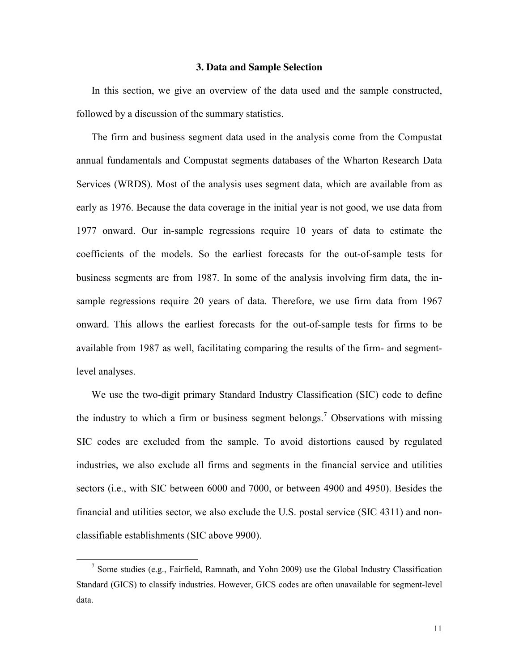## **3. Data and Sample Selection**

In this section, we give an overview of the data used and the sample constructed, followed by a discussion of the summary statistics.

The firm and business segment data used in the analysis come from the Compustat annual fundamentals and Compustat segments databases of the Wharton Research Data Services (WRDS). Most of the analysis uses segment data, which are available from as early as 1976. Because the data coverage in the initial year is not good, we use data from 1977 onward. Our in-sample regressions require 10 years of data to estimate the coefficients of the models. So the earliest forecasts for the out-of-sample tests for business segments are from 1987. In some of the analysis involving firm data, the insample regressions require 20 years of data. Therefore, we use firm data from 1967 onward. This allows the earliest forecasts for the out-of-sample tests for firms to be available from 1987 as well, facilitating comparing the results of the firm- and segmentlevel analyses.

We use the two-digit primary Standard Industry Classification (SIC) code to define the industry to which a firm or business segment belongs.<sup>7</sup> Observations with missing SIC codes are excluded from the sample. To avoid distortions caused by regulated industries, we also exclude all firms and segments in the financial service and utilities sectors (i.e., with SIC between 6000 and 7000, or between 4900 and 4950). Besides the financial and utilities sector, we also exclude the U.S. postal service (SIC 4311) and nonclassifiable establishments (SIC above 9900).

<sup>&</sup>lt;sup>7</sup> Some studies (e.g., Fairfield, Ramnath, and Yohn 2009) use the Global Industry Classification Standard (GICS) to classify industries. However, GICS codes are often unavailable for segment-level data.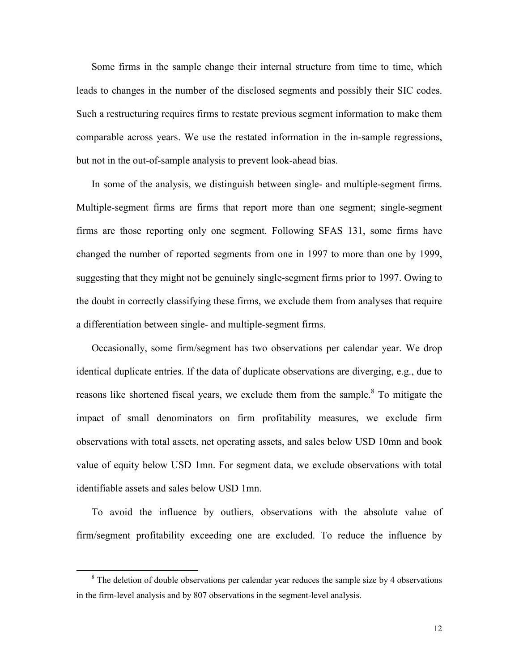Some firms in the sample change their internal structure from time to time, which leads to changes in the number of the disclosed segments and possibly their SIC codes. Such a restructuring requires firms to restate previous segment information to make them comparable across years. We use the restated information in the in-sample regressions, but not in the out-of-sample analysis to prevent look-ahead bias.

In some of the analysis, we distinguish between single- and multiple-segment firms. Multiple-segment firms are firms that report more than one segment; single-segment firms are those reporting only one segment. Following SFAS 131, some firms have changed the number of reported segments from one in 1997 to more than one by 1999, suggesting that they might not be genuinely single-segment firms prior to 1997. Owing to the doubt in correctly classifying these firms, we exclude them from analyses that require a differentiation between single- and multiple-segment firms.

Occasionally, some firm/segment has two observations per calendar year. We drop identical duplicate entries. If the data of duplicate observations are diverging, e.g., due to reasons like shortened fiscal years, we exclude them from the sample.<sup>8</sup> To mitigate the impact of small denominators on firm profitability measures, we exclude firm observations with total assets, net operating assets, and sales below USD 10mn and book value of equity below USD 1mn. For segment data, we exclude observations with total identifiable assets and sales below USD 1mn.

To avoid the influence by outliers, observations with the absolute value of firm/segment profitability exceeding one are excluded. To reduce the influence by

 $8$  The deletion of double observations per calendar year reduces the sample size by 4 observations in the firm-level analysis and by 807 observations in the segment-level analysis.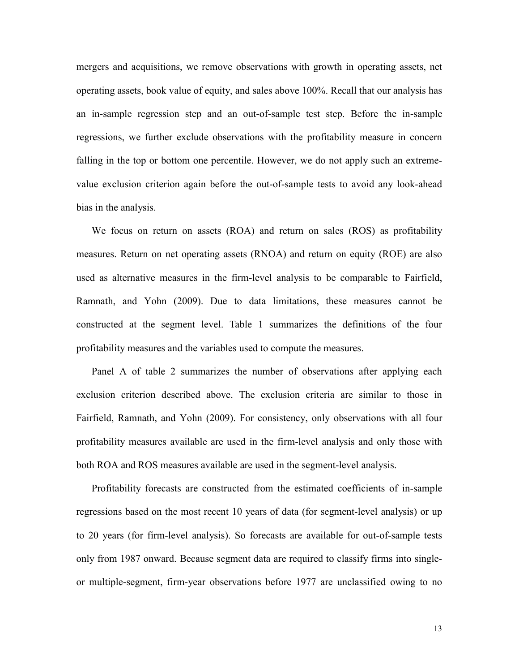mergers and acquisitions, we remove observations with growth in operating assets, net operating assets, book value of equity, and sales above 100%. Recall that our analysis has an in-sample regression step and an out-of-sample test step. Before the in-sample regressions, we further exclude observations with the profitability measure in concern falling in the top or bottom one percentile. However, we do not apply such an extremevalue exclusion criterion again before the out-of-sample tests to avoid any look-ahead bias in the analysis.

We focus on return on assets (ROA) and return on sales (ROS) as profitability measures. Return on net operating assets (RNOA) and return on equity (ROE) are also used as alternative measures in the firm-level analysis to be comparable to Fairfield, Ramnath, and Yohn (2009). Due to data limitations, these measures cannot be constructed at the segment level. Table 1 summarizes the definitions of the four profitability measures and the variables used to compute the measures.

Panel A of table 2 summarizes the number of observations after applying each exclusion criterion described above. The exclusion criteria are similar to those in Fairfield, Ramnath, and Yohn (2009). For consistency, only observations with all four profitability measures available are used in the firm-level analysis and only those with both ROA and ROS measures available are used in the segment-level analysis.

Profitability forecasts are constructed from the estimated coefficients of in-sample regressions based on the most recent 10 years of data (for segment-level analysis) or up to 20 years (for firm-level analysis). So forecasts are available for out-of-sample tests only from 1987 onward. Because segment data are required to classify firms into singleor multiple-segment, firm-year observations before 1977 are unclassified owing to no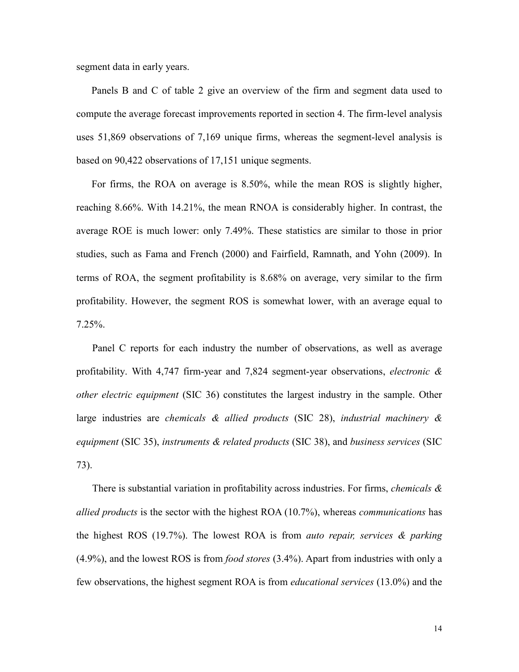segment data in early years.

Panels B and C of table 2 give an overview of the firm and segment data used to compute the average forecast improvements reported in section 4. The firm-level analysis uses 51,869 observations of 7,169 unique firms, whereas the segment-level analysis is based on 90,422 observations of 17,151 unique segments.

For firms, the ROA on average is 8.50%, while the mean ROS is slightly higher, reaching 8.66%. With 14.21%, the mean RNOA is considerably higher. In contrast, the average ROE is much lower: only 7.49%. These statistics are similar to those in prior studies, such as Fama and French (2000) and Fairfield, Ramnath, and Yohn (2009). In terms of ROA, the segment profitability is 8.68% on average, very similar to the firm profitability. However, the segment ROS is somewhat lower, with an average equal to 7.25%.

Panel C reports for each industry the number of observations, as well as average profitability. With 4,747 firm-year and 7,824 segment-year observations, *electronic & other electric equipment* (SIC 36) constitutes the largest industry in the sample. Other large industries are *chemicals & allied products* (SIC 28), *industrial machinery & equipment* (SIC 35), *instruments & related products* (SIC 38), and *business services* (SIC 73).

There is substantial variation in profitability across industries. For firms, *chemicals & allied products* is the sector with the highest ROA (10.7%), whereas *communications* has the highest ROS (19.7%). The lowest ROA is from *auto repair, services & parking* (4.9%), and the lowest ROS is from *food stores* (3.4%). Apart from industries with only a few observations, the highest segment ROA is from *educational services* (13.0%) and the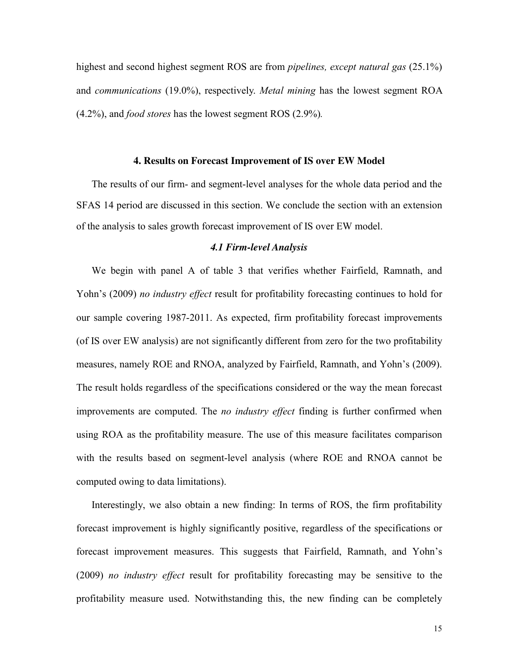highest and second highest segment ROS are from *pipelines, except natural gas* (25.1%) and *communications* (19.0%), respectively. *Metal mining* has the lowest segment ROA (4.2%), and *food stores* has the lowest segment ROS (2.9%)*.*

#### **4. Results on Forecast Improvement of IS over EW Model**

The results of our firm- and segment-level analyses for the whole data period and the SFAS 14 period are discussed in this section. We conclude the section with an extension of the analysis to sales growth forecast improvement of IS over EW model.

## *4.1 Firm-level Analysis*

We begin with panel A of table 3 that verifies whether Fairfield, Ramnath, and Yohn's (2009) *no industry effect* result for profitability forecasting continues to hold for our sample covering 1987-2011. As expected, firm profitability forecast improvements (of IS over EW analysis) are not significantly different from zero for the two profitability measures, namely ROE and RNOA, analyzed by Fairfield, Ramnath, and Yohn's (2009). The result holds regardless of the specifications considered or the way the mean forecast improvements are computed. The *no industry effect* finding is further confirmed when using ROA as the profitability measure. The use of this measure facilitates comparison with the results based on segment-level analysis (where ROE and RNOA cannot be computed owing to data limitations).

Interestingly, we also obtain a new finding: In terms of ROS, the firm profitability forecast improvement is highly significantly positive, regardless of the specifications or forecast improvement measures. This suggests that Fairfield, Ramnath, and Yohn's (2009) *no industry effect* result for profitability forecasting may be sensitive to the profitability measure used. Notwithstanding this, the new finding can be completely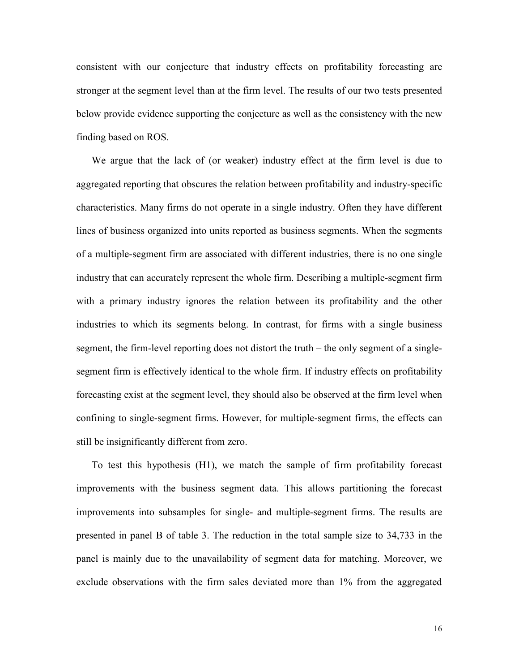consistent with our conjecture that industry effects on profitability forecasting are stronger at the segment level than at the firm level. The results of our two tests presented below provide evidence supporting the conjecture as well as the consistency with the new finding based on ROS.

We argue that the lack of (or weaker) industry effect at the firm level is due to aggregated reporting that obscures the relation between profitability and industry-specific characteristics. Many firms do not operate in a single industry. Often they have different lines of business organized into units reported as business segments. When the segments of a multiple-segment firm are associated with different industries, there is no one single industry that can accurately represent the whole firm. Describing a multiple-segment firm with a primary industry ignores the relation between its profitability and the other industries to which its segments belong. In contrast, for firms with a single business segment, the firm-level reporting does not distort the truth – the only segment of a singlesegment firm is effectively identical to the whole firm. If industry effects on profitability forecasting exist at the segment level, they should also be observed at the firm level when confining to single-segment firms. However, for multiple-segment firms, the effects can still be insignificantly different from zero.

To test this hypothesis (H1), we match the sample of firm profitability forecast improvements with the business segment data. This allows partitioning the forecast improvements into subsamples for single- and multiple-segment firms. The results are presented in panel B of table 3. The reduction in the total sample size to 34,733 in the panel is mainly due to the unavailability of segment data for matching. Moreover, we exclude observations with the firm sales deviated more than 1% from the aggregated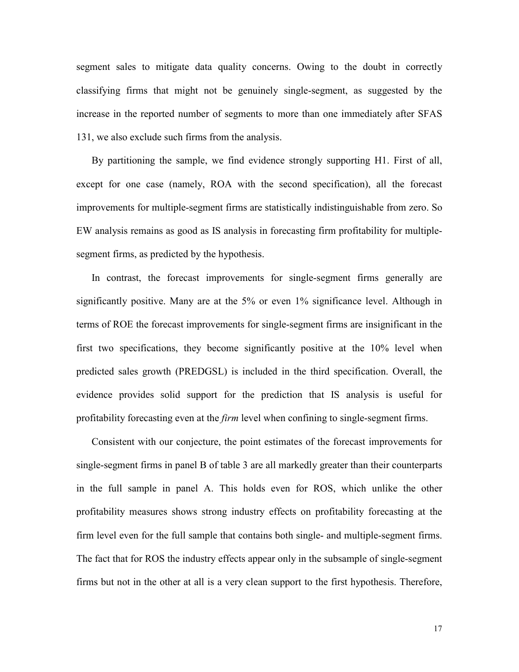segment sales to mitigate data quality concerns. Owing to the doubt in correctly classifying firms that might not be genuinely single-segment, as suggested by the increase in the reported number of segments to more than one immediately after SFAS 131, we also exclude such firms from the analysis.

By partitioning the sample, we find evidence strongly supporting H1. First of all, except for one case (namely, ROA with the second specification), all the forecast improvements for multiple-segment firms are statistically indistinguishable from zero. So EW analysis remains as good as IS analysis in forecasting firm profitability for multiplesegment firms, as predicted by the hypothesis.

In contrast, the forecast improvements for single-segment firms generally are significantly positive. Many are at the 5% or even 1% significance level. Although in terms of ROE the forecast improvements for single-segment firms are insignificant in the first two specifications, they become significantly positive at the 10% level when predicted sales growth (PREDGSL) is included in the third specification. Overall, the evidence provides solid support for the prediction that IS analysis is useful for profitability forecasting even at the *firm* level when confining to single-segment firms.

Consistent with our conjecture, the point estimates of the forecast improvements for single-segment firms in panel B of table 3 are all markedly greater than their counterparts in the full sample in panel A. This holds even for ROS, which unlike the other profitability measures shows strong industry effects on profitability forecasting at the firm level even for the full sample that contains both single- and multiple-segment firms. The fact that for ROS the industry effects appear only in the subsample of single-segment firms but not in the other at all is a very clean support to the first hypothesis. Therefore,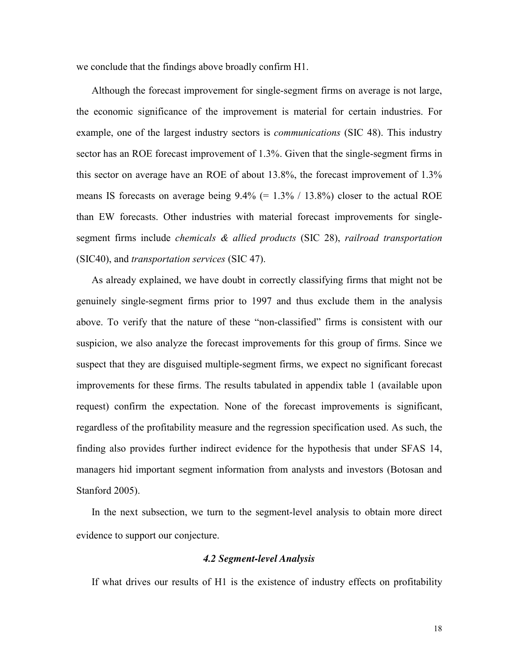we conclude that the findings above broadly confirm H1.

Although the forecast improvement for single-segment firms on average is not large, the economic significance of the improvement is material for certain industries. For example, one of the largest industry sectors is *communications* (SIC 48). This industry sector has an ROE forecast improvement of 1.3%. Given that the single-segment firms in this sector on average have an ROE of about 13.8%, the forecast improvement of 1.3% means IS forecasts on average being  $9.4\%$  (= 1.3% / 13.8%) closer to the actual ROE than EW forecasts. Other industries with material forecast improvements for singlesegment firms include *chemicals & allied products* (SIC 28), *railroad transportation* (SIC40), and *transportation services* (SIC 47).

As already explained, we have doubt in correctly classifying firms that might not be genuinely single-segment firms prior to 1997 and thus exclude them in the analysis above. To verify that the nature of these "non-classified" firms is consistent with our suspicion, we also analyze the forecast improvements for this group of firms. Since we suspect that they are disguised multiple-segment firms, we expect no significant forecast improvements for these firms. The results tabulated in appendix table 1 (available upon request) confirm the expectation. None of the forecast improvements is significant, regardless of the profitability measure and the regression specification used. As such, the finding also provides further indirect evidence for the hypothesis that under SFAS 14, managers hid important segment information from analysts and investors (Botosan and Stanford 2005).

In the next subsection, we turn to the segment-level analysis to obtain more direct evidence to support our conjecture.

## *4.2 Segment-level Analysis*

If what drives our results of H1 is the existence of industry effects on profitability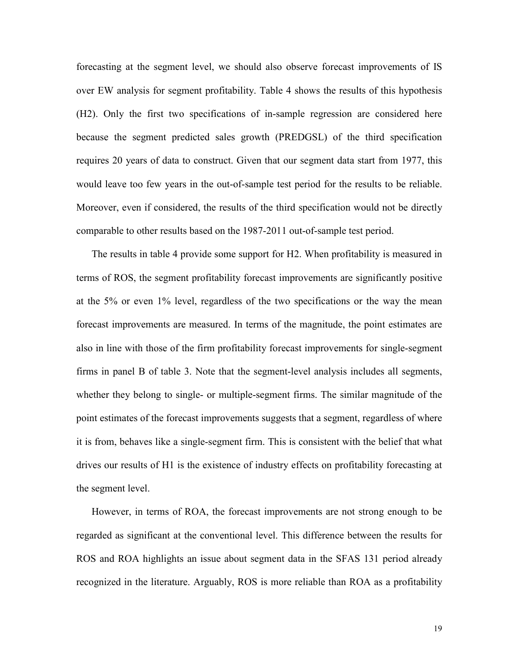forecasting at the segment level, we should also observe forecast improvements of IS over EW analysis for segment profitability. Table 4 shows the results of this hypothesis (H2). Only the first two specifications of in-sample regression are considered here because the segment predicted sales growth (PREDGSL) of the third specification requires 20 years of data to construct. Given that our segment data start from 1977, this would leave too few years in the out-of-sample test period for the results to be reliable. Moreover, even if considered, the results of the third specification would not be directly comparable to other results based on the 1987-2011 out-of-sample test period.

The results in table 4 provide some support for H2. When profitability is measured in terms of ROS, the segment profitability forecast improvements are significantly positive at the 5% or even 1% level, regardless of the two specifications or the way the mean forecast improvements are measured. In terms of the magnitude, the point estimates are also in line with those of the firm profitability forecast improvements for single-segment firms in panel B of table 3. Note that the segment-level analysis includes all segments, whether they belong to single- or multiple-segment firms. The similar magnitude of the point estimates of the forecast improvements suggests that a segment, regardless of where it is from, behaves like a single-segment firm. This is consistent with the belief that what drives our results of H1 is the existence of industry effects on profitability forecasting at the segment level.

However, in terms of ROA, the forecast improvements are not strong enough to be regarded as significant at the conventional level. This difference between the results for ROS and ROA highlights an issue about segment data in the SFAS 131 period already recognized in the literature. Arguably, ROS is more reliable than ROA as a profitability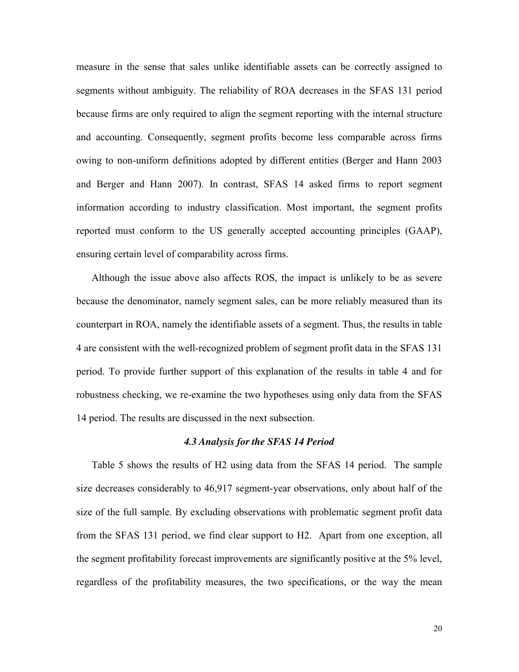measure in the sense that sales unlike identifiable assets can be correctly assigned to segments without ambiguity. The reliability of ROA decreases in the SFAS 131 period because firms are only required to align the segment reporting with the internal structure and accounting. Consequently, segment profits become less comparable across firms owing to non-uniform definitions adopted by different entities (Berger and Hann 2003 and Berger and Hann 2007). In contrast, SFAS 14 asked firms to report segment information according to industry classification. Most important, the segment profits reported must conform to the US generally accepted accounting principles (GAAP), ensuring certain level of comparability across firms.

Although the issue above also affects ROS, the impact is unlikely to be as severe because the denominator, namely segment sales, can be more reliably measured than its counterpart in ROA, namely the identifiable assets of a segment. Thus, the results in table 4 are consistent with the well-recognized problem of segment profit data in the SFAS 131 period. To provide further support of this explanation of the results in table 4 and for robustness checking, we re-examine the two hypotheses using only data from the SFAS 14 period. The results are discussed in the next subsection.

# *4.3 Analysis for the SFAS 14 Period*

Table 5 shows the results of H2 using data from the SFAS 14 period. The sample size decreases considerably to 46,917 segment-year observations, only about half of the size of the full sample. By excluding observations with problematic segment profit data from the SFAS 131 period, we find clear support to H2. Apart from one exception, all the segment profitability forecast improvements are significantly positive at the 5% level, regardless of the profitability measures, the two specifications, or the way the mean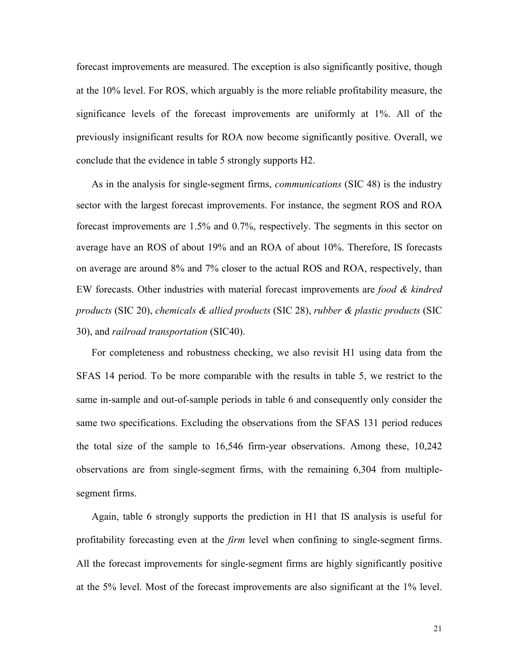forecast improvements are measured. The exception is also significantly positive, though at the 10% level. For ROS, which arguably is the more reliable profitability measure, the significance levels of the forecast improvements are uniformly at 1%. All of the previously insignificant results for ROA now become significantly positive. Overall, we conclude that the evidence in table 5 strongly supports H2.

As in the analysis for single-segment firms, *communications* (SIC 48) is the industry sector with the largest forecast improvements. For instance, the segment ROS and ROA forecast improvements are 1.5% and 0.7%, respectively. The segments in this sector on average have an ROS of about 19% and an ROA of about 10%. Therefore, IS forecasts on average are around 8% and 7% closer to the actual ROS and ROA, respectively, than EW forecasts. Other industries with material forecast improvements are *food & kindred products* (SIC 20), *chemicals & allied products* (SIC 28), *rubber & plastic products* (SIC 30), and *railroad transportation* (SIC40).

For completeness and robustness checking, we also revisit H1 using data from the SFAS 14 period. To be more comparable with the results in table 5, we restrict to the same in-sample and out-of-sample periods in table 6 and consequently only consider the same two specifications. Excluding the observations from the SFAS 131 period reduces the total size of the sample to 16,546 firm-year observations. Among these, 10,242 observations are from single-segment firms, with the remaining 6,304 from multiplesegment firms.

Again, table 6 strongly supports the prediction in H1 that IS analysis is useful for profitability forecasting even at the *firm* level when confining to single-segment firms. All the forecast improvements for single-segment firms are highly significantly positive at the 5% level. Most of the forecast improvements are also significant at the 1% level.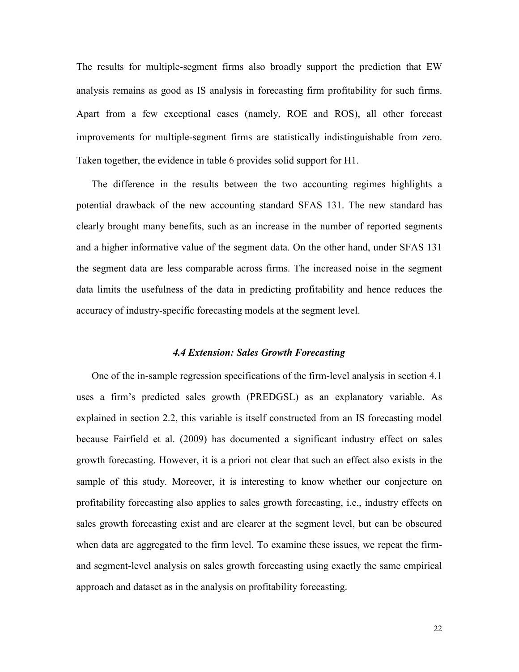The results for multiple-segment firms also broadly support the prediction that EW analysis remains as good as IS analysis in forecasting firm profitability for such firms. Apart from a few exceptional cases (namely, ROE and ROS), all other forecast improvements for multiple-segment firms are statistically indistinguishable from zero. Taken together, the evidence in table 6 provides solid support for H1.

The difference in the results between the two accounting regimes highlights a potential drawback of the new accounting standard SFAS 131. The new standard has clearly brought many benefits, such as an increase in the number of reported segments and a higher informative value of the segment data. On the other hand, under SFAS 131 the segment data are less comparable across firms. The increased noise in the segment data limits the usefulness of the data in predicting profitability and hence reduces the accuracy of industry-specific forecasting models at the segment level.

#### *4.4 Extension: Sales Growth Forecasting*

One of the in-sample regression specifications of the firm-level analysis in section 4.1 uses a firm's predicted sales growth (PREDGSL) as an explanatory variable. As explained in section 2.2, this variable is itself constructed from an IS forecasting model because Fairfield et al. (2009) has documented a significant industry effect on sales growth forecasting. However, it is a priori not clear that such an effect also exists in the sample of this study. Moreover, it is interesting to know whether our conjecture on profitability forecasting also applies to sales growth forecasting, i.e., industry effects on sales growth forecasting exist and are clearer at the segment level, but can be obscured when data are aggregated to the firm level. To examine these issues, we repeat the firmand segment-level analysis on sales growth forecasting using exactly the same empirical approach and dataset as in the analysis on profitability forecasting.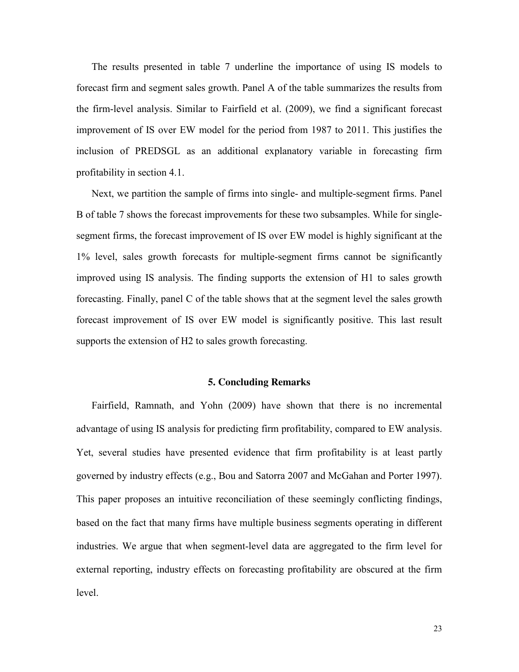The results presented in table 7 underline the importance of using IS models to forecast firm and segment sales growth. Panel A of the table summarizes the results from the firm-level analysis. Similar to Fairfield et al. (2009), we find a significant forecast improvement of IS over EW model for the period from 1987 to 2011. This justifies the inclusion of PREDSGL as an additional explanatory variable in forecasting firm profitability in section 4.1.

Next, we partition the sample of firms into single- and multiple-segment firms. Panel B of table 7 shows the forecast improvements for these two subsamples. While for singlesegment firms, the forecast improvement of IS over EW model is highly significant at the 1% level, sales growth forecasts for multiple-segment firms cannot be significantly improved using IS analysis. The finding supports the extension of H1 to sales growth forecasting. Finally, panel C of the table shows that at the segment level the sales growth forecast improvement of IS over EW model is significantly positive. This last result supports the extension of H2 to sales growth forecasting.

## **5. Concluding Remarks**

Fairfield, Ramnath, and Yohn (2009) have shown that there is no incremental advantage of using IS analysis for predicting firm profitability, compared to EW analysis. Yet, several studies have presented evidence that firm profitability is at least partly governed by industry effects (e.g., Bou and Satorra 2007 and McGahan and Porter 1997). This paper proposes an intuitive reconciliation of these seemingly conflicting findings, based on the fact that many firms have multiple business segments operating in different industries. We argue that when segment-level data are aggregated to the firm level for external reporting, industry effects on forecasting profitability are obscured at the firm level.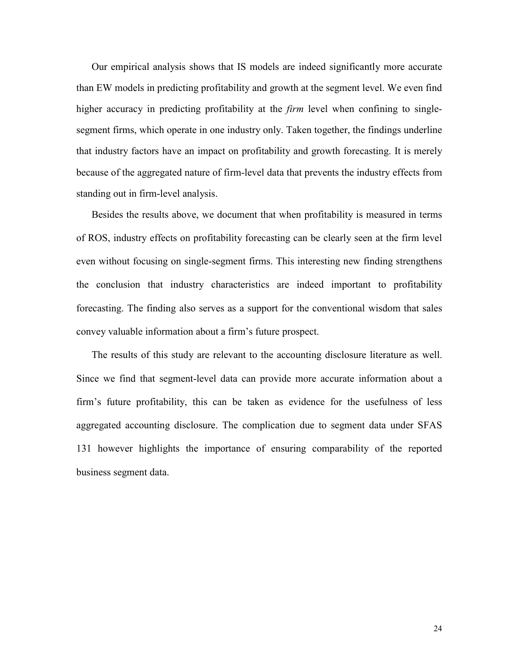Our empirical analysis shows that IS models are indeed significantly more accurate than EW models in predicting profitability and growth at the segment level. We even find higher accuracy in predicting profitability at the *firm* level when confining to singlesegment firms, which operate in one industry only. Taken together, the findings underline that industry factors have an impact on profitability and growth forecasting. It is merely because of the aggregated nature of firm-level data that prevents the industry effects from standing out in firm-level analysis.

Besides the results above, we document that when profitability is measured in terms of ROS, industry effects on profitability forecasting can be clearly seen at the firm level even without focusing on single-segment firms. This interesting new finding strengthens the conclusion that industry characteristics are indeed important to profitability forecasting. The finding also serves as a support for the conventional wisdom that sales convey valuable information about a firm's future prospect.

The results of this study are relevant to the accounting disclosure literature as well. Since we find that segment-level data can provide more accurate information about a firm's future profitability, this can be taken as evidence for the usefulness of less aggregated accounting disclosure. The complication due to segment data under SFAS 131 however highlights the importance of ensuring comparability of the reported business segment data.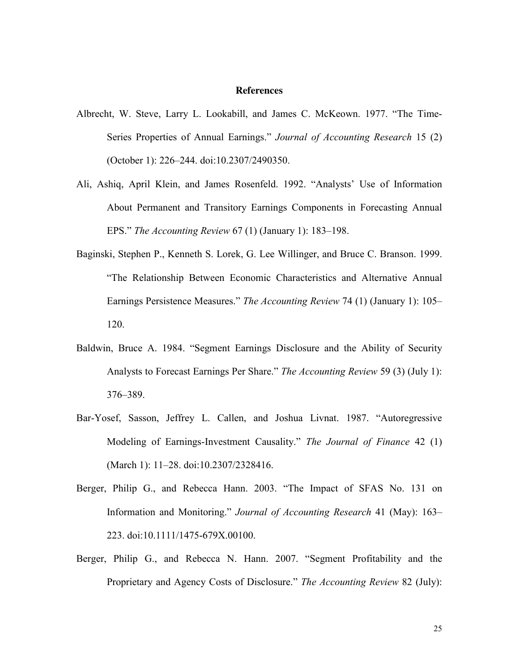#### **References**

- Albrecht, W. Steve, Larry L. Lookabill, and James C. McKeown. 1977. "The Time-Series Properties of Annual Earnings." *Journal of Accounting Research* 15 (2) (October 1): 226–244. doi:10.2307/2490350.
- Ali, Ashiq, April Klein, and James Rosenfeld. 1992. "Analysts' Use of Information About Permanent and Transitory Earnings Components in Forecasting Annual EPS." *The Accounting Review* 67 (1) (January 1): 183–198.
- Baginski, Stephen P., Kenneth S. Lorek, G. Lee Willinger, and Bruce C. Branson. 1999. "The Relationship Between Economic Characteristics and Alternative Annual Earnings Persistence Measures." *The Accounting Review* 74 (1) (January 1): 105– 120.
- Baldwin, Bruce A. 1984. "Segment Earnings Disclosure and the Ability of Security Analysts to Forecast Earnings Per Share." *The Accounting Review* 59 (3) (July 1): 376–389.
- Bar-Yosef, Sasson, Jeffrey L. Callen, and Joshua Livnat. 1987. "Autoregressive Modeling of Earnings-Investment Causality." *The Journal of Finance* 42 (1) (March 1): 11–28. doi:10.2307/2328416.
- Berger, Philip G., and Rebecca Hann. 2003. "The Impact of SFAS No. 131 on Information and Monitoring." *Journal of Accounting Research* 41 (May): 163– 223. doi:10.1111/1475-679X.00100.
- Berger, Philip G., and Rebecca N. Hann. 2007. "Segment Profitability and the Proprietary and Agency Costs of Disclosure." *The Accounting Review* 82 (July):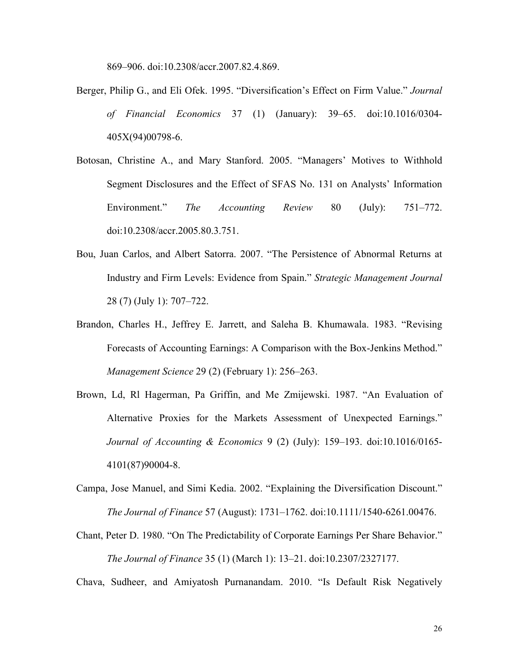869–906. doi:10.2308/accr.2007.82.4.869.

- Berger, Philip G., and Eli Ofek. 1995. "Diversification's Effect on Firm Value." *Journal of Financial Economics* 37 (1) (January): 39–65. doi:10.1016/0304- 405X(94)00798-6.
- Botosan, Christine A., and Mary Stanford. 2005. "Managers' Motives to Withhold Segment Disclosures and the Effect of SFAS No. 131 on Analysts' Information Environment." *The Accounting Review* 80 (July): 751–772. doi:10.2308/accr.2005.80.3.751.
- Bou, Juan Carlos, and Albert Satorra. 2007. "The Persistence of Abnormal Returns at Industry and Firm Levels: Evidence from Spain." *Strategic Management Journal* 28 (7) (July 1): 707–722.
- Brandon, Charles H., Jeffrey E. Jarrett, and Saleha B. Khumawala. 1983. "Revising Forecasts of Accounting Earnings: A Comparison with the Box-Jenkins Method." *Management Science* 29 (2) (February 1): 256–263.
- Brown, Ld, Rl Hagerman, Pa Griffin, and Me Zmijewski. 1987. "An Evaluation of Alternative Proxies for the Markets Assessment of Unexpected Earnings." *Journal of Accounting & Economics* 9 (2) (July): 159–193. doi:10.1016/0165- 4101(87)90004-8.
- Campa, Jose Manuel, and Simi Kedia. 2002. "Explaining the Diversification Discount." *The Journal of Finance* 57 (August): 1731–1762. doi:10.1111/1540-6261.00476.
- Chant, Peter D. 1980. "On The Predictability of Corporate Earnings Per Share Behavior." *The Journal of Finance* 35 (1) (March 1): 13–21. doi:10.2307/2327177.

Chava, Sudheer, and Amiyatosh Purnanandam. 2010. "Is Default Risk Negatively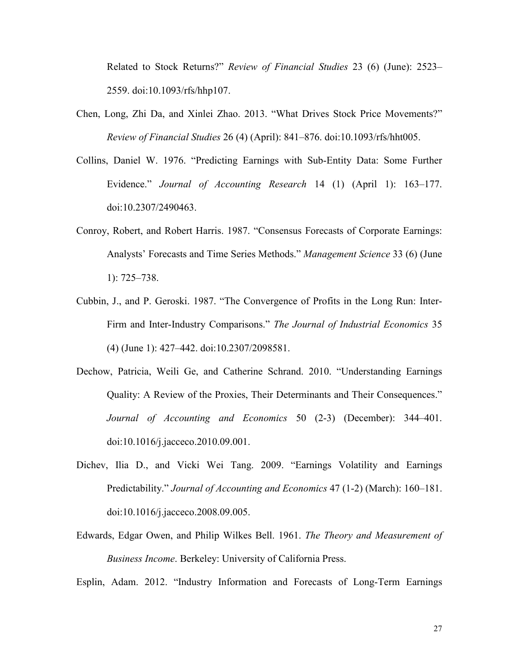Related to Stock Returns?" *Review of Financial Studies* 23 (6) (June): 2523– 2559. doi:10.1093/rfs/hhp107.

- Chen, Long, Zhi Da, and Xinlei Zhao. 2013. "What Drives Stock Price Movements?" *Review of Financial Studies* 26 (4) (April): 841–876. doi:10.1093/rfs/hht005.
- Collins, Daniel W. 1976. "Predicting Earnings with Sub-Entity Data: Some Further Evidence." *Journal of Accounting Research* 14 (1) (April 1): 163–177. doi:10.2307/2490463.
- Conroy, Robert, and Robert Harris. 1987. "Consensus Forecasts of Corporate Earnings: Analysts' Forecasts and Time Series Methods." *Management Science* 33 (6) (June 1): 725–738.
- Cubbin, J., and P. Geroski. 1987. "The Convergence of Profits in the Long Run: Inter-Firm and Inter-Industry Comparisons." *The Journal of Industrial Economics* 35 (4) (June 1): 427–442. doi:10.2307/2098581.
- Dechow, Patricia, Weili Ge, and Catherine Schrand. 2010. "Understanding Earnings Quality: A Review of the Proxies, Their Determinants and Their Consequences." *Journal of Accounting and Economics* 50 (2-3) (December): 344–401. doi:10.1016/j.jacceco.2010.09.001.
- Dichev, Ilia D., and Vicki Wei Tang. 2009. "Earnings Volatility and Earnings Predictability." *Journal of Accounting and Economics* 47 (1-2) (March): 160–181. doi:10.1016/j.jacceco.2008.09.005.
- Edwards, Edgar Owen, and Philip Wilkes Bell. 1961. *The Theory and Measurement of Business Income*. Berkeley: University of California Press.

Esplin, Adam. 2012. "Industry Information and Forecasts of Long-Term Earnings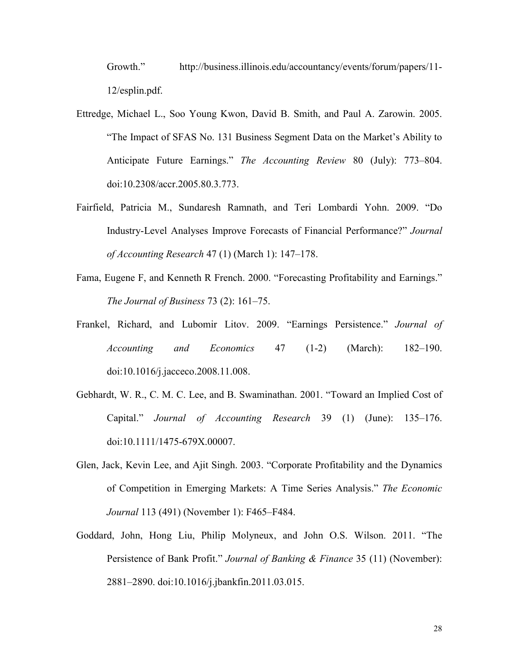Growth." http://business.illinois.edu/accountancy/events/forum/papers/11- 12/esplin.pdf.

- Ettredge, Michael L., Soo Young Kwon, David B. Smith, and Paul A. Zarowin. 2005. "The Impact of SFAS No. 131 Business Segment Data on the Market's Ability to Anticipate Future Earnings." *The Accounting Review* 80 (July): 773–804. doi:10.2308/accr.2005.80.3.773.
- Fairfield, Patricia M., Sundaresh Ramnath, and Teri Lombardi Yohn. 2009. "Do Industry-Level Analyses Improve Forecasts of Financial Performance?" *Journal of Accounting Research* 47 (1) (March 1): 147–178.
- Fama, Eugene F, and Kenneth R French. 2000. "Forecasting Profitability and Earnings." *The Journal of Business* 73 (2): 161–75.
- Frankel, Richard, and Lubomir Litov. 2009. "Earnings Persistence." *Journal of Accounting and Economics* 47 (1-2) (March): 182–190. doi:10.1016/j.jacceco.2008.11.008.
- Gebhardt, W. R., C. M. C. Lee, and B. Swaminathan. 2001. "Toward an Implied Cost of Capital." *Journal of Accounting Research* 39 (1) (June): 135–176. doi:10.1111/1475-679X.00007.
- Glen, Jack, Kevin Lee, and Ajit Singh. 2003. "Corporate Profitability and the Dynamics of Competition in Emerging Markets: A Time Series Analysis." *The Economic Journal* 113 (491) (November 1): F465–F484.
- Goddard, John, Hong Liu, Philip Molyneux, and John O.S. Wilson. 2011. "The Persistence of Bank Profit." *Journal of Banking & Finance* 35 (11) (November): 2881–2890. doi:10.1016/j.jbankfin.2011.03.015.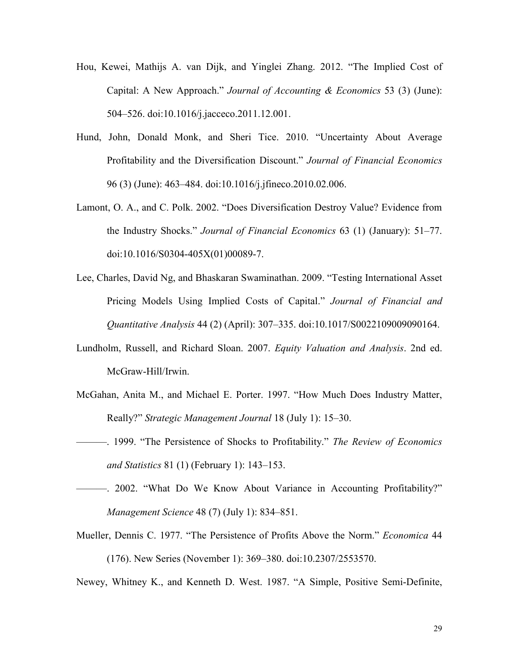- Hou, Kewei, Mathijs A. van Dijk, and Yinglei Zhang. 2012. "The Implied Cost of Capital: A New Approach." *Journal of Accounting & Economics* 53 (3) (June): 504–526. doi:10.1016/j.jacceco.2011.12.001.
- Hund, John, Donald Monk, and Sheri Tice. 2010. "Uncertainty About Average Profitability and the Diversification Discount." *Journal of Financial Economics* 96 (3) (June): 463–484. doi:10.1016/j.jfineco.2010.02.006.
- Lamont, O. A., and C. Polk. 2002. "Does Diversification Destroy Value? Evidence from the Industry Shocks." *Journal of Financial Economics* 63 (1) (January): 51–77. doi:10.1016/S0304-405X(01)00089-7.
- Lee, Charles, David Ng, and Bhaskaran Swaminathan. 2009. "Testing International Asset Pricing Models Using Implied Costs of Capital." *Journal of Financial and Quantitative Analysis* 44 (2) (April): 307–335. doi:10.1017/S0022109009090164.
- Lundholm, Russell, and Richard Sloan. 2007. *Equity Valuation and Analysis*. 2nd ed. McGraw-Hill/Irwin.
- McGahan, Anita M., and Michael E. Porter. 1997. "How Much Does Industry Matter, Really?" *Strategic Management Journal* 18 (July 1): 15–30.
- ———. 1999. "The Persistence of Shocks to Profitability." *The Review of Economics and Statistics* 81 (1) (February 1): 143–153.
- ———. 2002. "What Do We Know About Variance in Accounting Profitability?" *Management Science* 48 (7) (July 1): 834–851.
- Mueller, Dennis C. 1977. "The Persistence of Profits Above the Norm." *Economica* 44 (176). New Series (November 1): 369–380. doi:10.2307/2553570.

Newey, Whitney K., and Kenneth D. West. 1987. "A Simple, Positive Semi-Definite,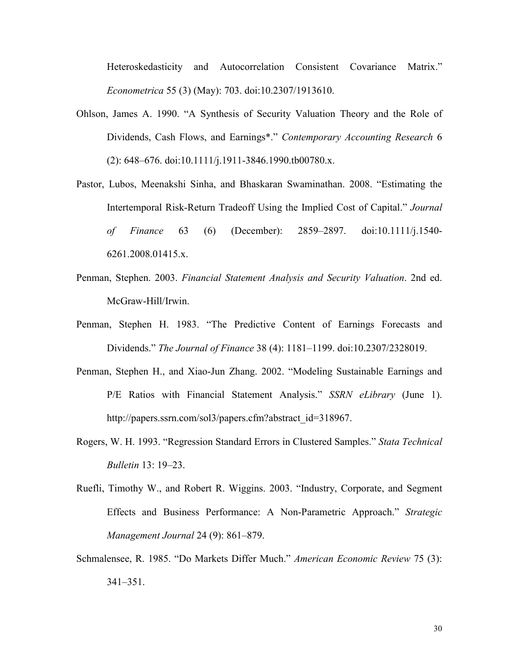Heteroskedasticity and Autocorrelation Consistent Covariance Matrix." *Econometrica* 55 (3) (May): 703. doi:10.2307/1913610.

- Ohlson, James A. 1990. "A Synthesis of Security Valuation Theory and the Role of Dividends, Cash Flows, and Earnings\*." *Contemporary Accounting Research* 6 (2): 648–676. doi:10.1111/j.1911-3846.1990.tb00780.x.
- Pastor, Lubos, Meenakshi Sinha, and Bhaskaran Swaminathan. 2008. "Estimating the Intertemporal Risk-Return Tradeoff Using the Implied Cost of Capital." *Journal of Finance* 63 (6) (December): 2859–2897. doi:10.1111/j.1540- 6261.2008.01415.x.
- Penman, Stephen. 2003. *Financial Statement Analysis and Security Valuation*. 2nd ed. McGraw-Hill/Irwin.
- Penman, Stephen H. 1983. "The Predictive Content of Earnings Forecasts and Dividends." *The Journal of Finance* 38 (4): 1181–1199. doi:10.2307/2328019.
- Penman, Stephen H., and Xiao-Jun Zhang. 2002. "Modeling Sustainable Earnings and P/E Ratios with Financial Statement Analysis." *SSRN eLibrary* (June 1). http://papers.ssrn.com/sol3/papers.cfm?abstract\_id=318967.
- Rogers, W. H. 1993. "Regression Standard Errors in Clustered Samples." *Stata Technical Bulletin* 13: 19–23.
- Ruefli, Timothy W., and Robert R. Wiggins. 2003. "Industry, Corporate, and Segment Effects and Business Performance: A Non-Parametric Approach." *Strategic Management Journal* 24 (9): 861–879.
- Schmalensee, R. 1985. "Do Markets Differ Much." *American Economic Review* 75 (3): 341–351.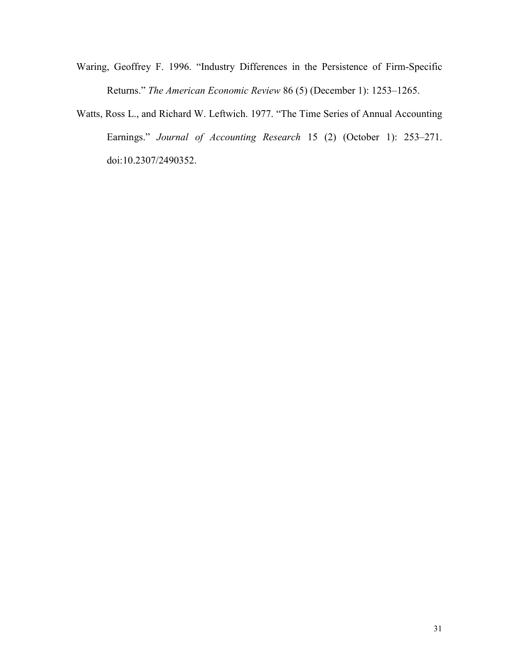- Waring, Geoffrey F. 1996. "Industry Differences in the Persistence of Firm-Specific Returns." *The American Economic Review* 86 (5) (December 1): 1253–1265.
- Watts, Ross L., and Richard W. Leftwich. 1977. "The Time Series of Annual Accounting Earnings." *Journal of Accounting Research* 15 (2) (October 1): 253–271. doi:10.2307/2490352.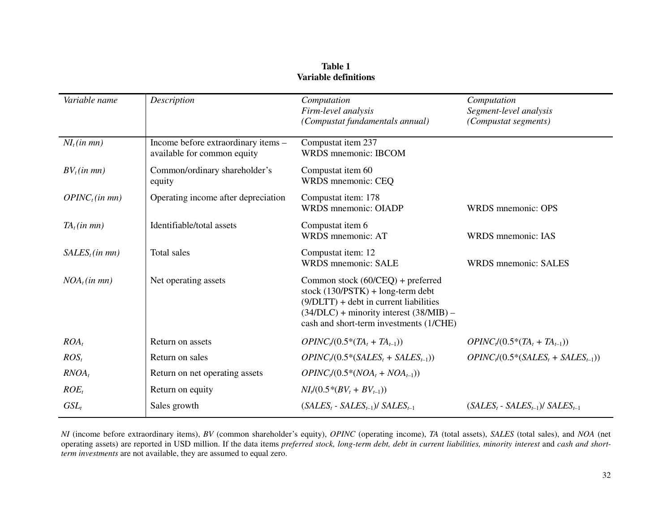| Variable name              | Description                                                        | Computation<br>Firm-level analysis<br>(Compustat fundamentals annual)                                                                                                                                          | Computation<br>Segment-level analysis<br>(Compustat segments) |
|----------------------------|--------------------------------------------------------------------|----------------------------------------------------------------------------------------------------------------------------------------------------------------------------------------------------------------|---------------------------------------------------------------|
|                            |                                                                    |                                                                                                                                                                                                                |                                                               |
| $NI_t(in$ mn)              | Income before extraordinary items -<br>available for common equity | Compustat item 237<br>WRDS mnemonic: IBCOM                                                                                                                                                                     |                                                               |
| $BV_t(in$ mn)              | Common/ordinary shareholder's<br>equity                            | Compustat item 60<br>WRDS mnemonic: CEQ                                                                                                                                                                        |                                                               |
| OPINC <sub>t</sub> (in mn) | Operating income after depreciation                                | Compustat item: 178<br><b>WRDS</b> mnemonic: OIADP                                                                                                                                                             | WRDS mnemonic: OPS                                            |
| $TA_t(in \, mn)$           | Identifiable/total assets                                          | Compustat item 6<br>WRDS mnemonic: AT                                                                                                                                                                          | WRDS mnemonic: IAS                                            |
| $SALES_t(in mn)$           | Total sales                                                        | Compustat item: 12<br><b>WRDS</b> mnemonic: SALE                                                                                                                                                               | <b>WRDS</b> mnemonic: SALES                                   |
| $NOA_t(in mn)$             | Net operating assets                                               | Common stock (60/CEQ) + preferred<br>stock $(130/PSTK) + long-term debt$<br>$(9/DLTT)$ + debt in current liabilities<br>$(34/DLC)$ + minority interest $(38/MIB)$ –<br>cash and short-term investments (1/CHE) |                                                               |
| $ROA_t$                    | Return on assets                                                   | $OPINC / (0.5*(TA_t + TA_{t-1}))$                                                                                                                                                                              | $OPINCt (0.5*(TAt + TAt-1))$                                  |
| $ROS_t$                    | Return on sales                                                    | $OPINC/ (0.5*(SALES_t + SALES_{t-1}))$                                                                                                                                                                         | $OPINC/ (0.5*(SALES_t + SALES_{t-1}))$                        |
| $RNOA_t$                   | Return on net operating assets                                     | $OPINC_{t}(0.5*(NOA_{t} + NOA_{t-1}))$                                                                                                                                                                         |                                                               |
| $ROE_t$                    | Return on equity                                                   | $NI_t/(0.5*(BV_t + BV_{t-1}))$                                                                                                                                                                                 |                                                               |
| $GSL_t$                    | Sales growth                                                       | $(SALES_t - SALES_{t-1})/ SALES_{t-1}$                                                                                                                                                                         | $(SALES_t - SALES_{t-1})/ SALES_{t-1}$                        |

**Table 1 Variable definitions** 

*NI* (income before extraordinary items), *BV* (common shareholder's equity), *OPINC* (operating income), *TA* (total assets), *SALES* (total sales), and *NOA* (net operating assets) are reported in USD million. If the data items *preferred stock, long-term debt, debt in current liabilities, minority interest* and *cash and shortterm investments* are not available, they are assumed to equal zero.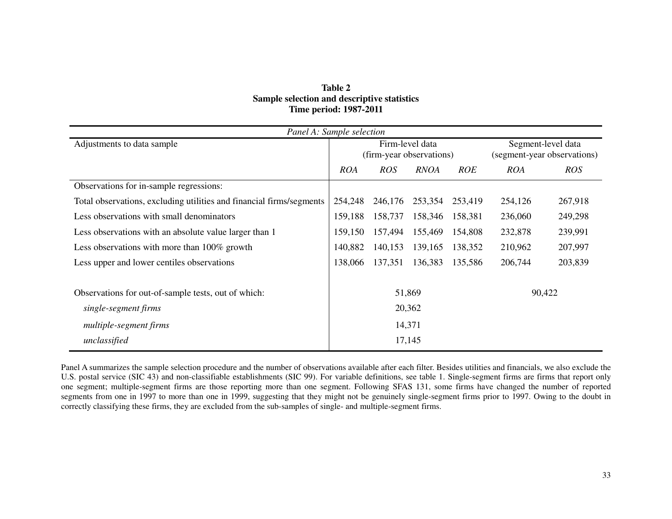| Table 2                                     |  |  |  |  |  |  |  |
|---------------------------------------------|--|--|--|--|--|--|--|
| Sample selection and descriptive statistics |  |  |  |  |  |  |  |
| <b>Time period: 1987-2011</b>               |  |  |  |  |  |  |  |

| Panel A: Sample selection                                            |            |                          |                 |            |                             |            |  |  |
|----------------------------------------------------------------------|------------|--------------------------|-----------------|------------|-----------------------------|------------|--|--|
| Adjustments to data sample                                           |            |                          | Firm-level data |            | Segment-level data          |            |  |  |
|                                                                      |            | (firm-year observations) |                 |            | (segment-year observations) |            |  |  |
|                                                                      | <b>ROA</b> | <b>ROS</b>               | <b>RNOA</b>     | <b>ROE</b> | <b>ROA</b>                  | <b>ROS</b> |  |  |
| Observations for in-sample regressions:                              |            |                          |                 |            |                             |            |  |  |
| Total observations, excluding utilities and financial firms/segments | 254,248    | 246,176                  | 253,354         | 253,419    | 254,126                     | 267,918    |  |  |
| Less observations with small denominators                            | 159,188    | 158,737                  | 158,346         | 158,381    | 236,060                     | 249,298    |  |  |
| Less observations with an absolute value larger than 1               |            | 157,494                  | 155,469         | 154,808    | 232,878                     | 239,991    |  |  |
| Less observations with more than 100% growth                         | 140,882    | 140,153                  | 139,165         | 138,352    | 210,962                     | 207,997    |  |  |
| Less upper and lower centiles observations                           | 138,066    | 137,351                  | 136,383         | 135,586    | 206,744                     | 203,839    |  |  |
|                                                                      |            |                          |                 |            |                             |            |  |  |
| Observations for out-of-sample tests, out of which:                  |            |                          | 51,869          | 90,422     |                             |            |  |  |
| single-segment firms                                                 |            |                          | 20,362          |            |                             |            |  |  |
| multiple-segment firms                                               |            |                          | 14,371          |            |                             |            |  |  |
| unclassified                                                         |            |                          | 17,145          |            |                             |            |  |  |

Panel A summarizes the sample selection procedure and the number of observations available after each filter. Besides utilities and financials, we also exclude the U.S. postal service (SIC 43) and non-classifiable establishments (SIC 99). For variable definitions, see table 1. Single-segment firms are firms that report only one segment; multiple-segment firms are those reporting more than one segment. Following SFAS 131, some firms have changed the number of reported segments from one in 1997 to more than one in 1999, suggesting that they might not be genuinely single-segment firms prior to 1997. Owing to the doubt in correctly classifying these firms, they are excluded from the sub-samples of single- and multiple-segment firms.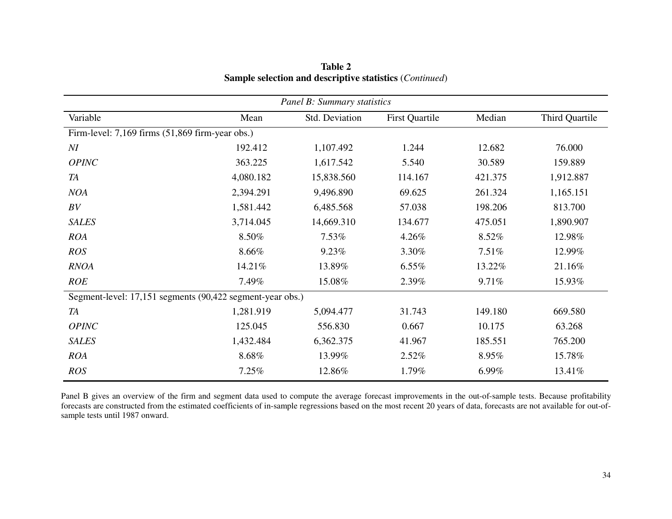| Panel B: Summary statistics                               |           |                |                       |         |                |  |  |  |  |  |
|-----------------------------------------------------------|-----------|----------------|-----------------------|---------|----------------|--|--|--|--|--|
| Variable                                                  | Mean      | Std. Deviation | <b>First Quartile</b> | Median  | Third Quartile |  |  |  |  |  |
| Firm-level: 7,169 firms (51,869 firm-year obs.)           |           |                |                       |         |                |  |  |  |  |  |
| M                                                         | 192.412   | 1,107.492      | 1.244                 | 12.682  | 76.000         |  |  |  |  |  |
| OPINC                                                     | 363.225   | 1,617.542      | 5.540                 | 30.589  | 159.889        |  |  |  |  |  |
| <b>TA</b>                                                 | 4,080.182 | 15,838.560     | 114.167               | 421.375 | 1,912.887      |  |  |  |  |  |
| <b>NOA</b>                                                | 2,394.291 | 9,496.890      | 69.625                | 261.324 | 1,165.151      |  |  |  |  |  |
| BV                                                        | 1,581.442 | 6,485.568      | 57.038                | 198.206 | 813.700        |  |  |  |  |  |
| <b>SALES</b>                                              | 3,714.045 | 14,669.310     | 134.677               | 475.051 | 1,890.907      |  |  |  |  |  |
| <b>ROA</b>                                                | 8.50%     | 7.53%          | 4.26%                 | 8.52%   | 12.98%         |  |  |  |  |  |
| <b>ROS</b>                                                | 8.66%     | 9.23%          | 3.30%                 | 7.51%   | 12.99%         |  |  |  |  |  |
| <b>RNOA</b>                                               | 14.21%    | 13.89%         | 6.55%                 | 13.22%  | 21.16%         |  |  |  |  |  |
| <b>ROE</b>                                                | 7.49%     | 15.08%         | 2.39%                 | 9.71%   | 15.93%         |  |  |  |  |  |
| Segment-level: 17,151 segments (90,422 segment-year obs.) |           |                |                       |         |                |  |  |  |  |  |
| <b>TA</b>                                                 | 1,281.919 | 5,094.477      | 31.743                | 149.180 | 669.580        |  |  |  |  |  |
| <b>OPINC</b>                                              | 125.045   | 556.830        | 0.667                 | 10.175  | 63.268         |  |  |  |  |  |
| <b>SALES</b>                                              | 1,432.484 | 6,362.375      | 41.967                | 185.551 | 765.200        |  |  |  |  |  |
| <b>ROA</b>                                                | 8.68%     | 13.99%         | 2.52%                 | 8.95%   | 15.78%         |  |  |  |  |  |
| <b>ROS</b>                                                | 7.25%     | 12.86%         | 1.79%                 | 6.99%   | 13.41%         |  |  |  |  |  |

**Table 2 Sample selection and descriptive statistics** (*Continued*)

Panel B gives an overview of the firm and segment data used to compute the average forecast improvements in the out-of-sample tests. Because profitability forecasts are constructed from the estimated coefficients of in-sample regressions based on the most recent 20 years of data, forecasts are not available for out-ofsample tests until 1987 onward.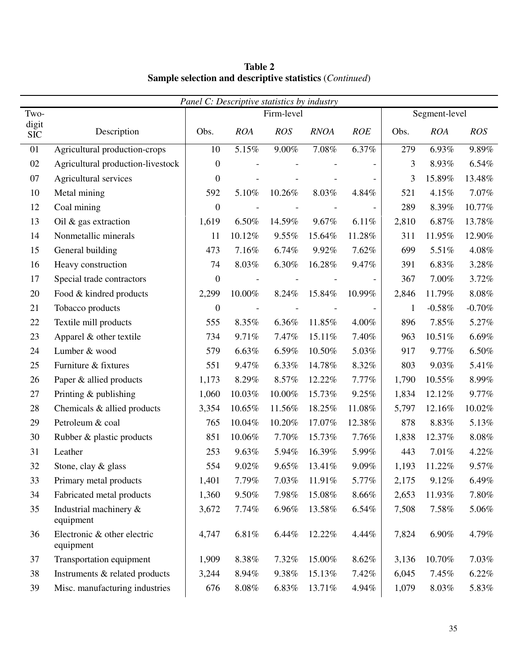*Panel C: Descriptive statistics by industry*  Two- Two- Regiment-level Regiment-level Segment-level digit SIC Description Obs. *ROA ROS RNOA ROE* Obs. *ROA ROS*  01 Agricultural production-crops 10 5.15% 9.00% 7.08% 6.37% 279 6.93% 9.89% 02 Agricultural production-livestock 0 - - - - - - 3 8.93% 6.54% 07 Agricultural services 0 0 - - - - - 3 15.89% 13.48% 10 Metal mining 10 10.26% 10.26% 8.03% 4.84% 521 4.15% 7.07% 12 Coal mining 10 0 - - - - 1 289 8.39% 10.77% 13 Oil & gas extraction 1,619 6.50% 14.59% 9.67% 6.11% 2,810 6.87% 13.78% 14 Nonmetallic minerals 11 10.12% 9.55% 15.64% 11.28% 311 11.95% 12.90% 15 General building 15 and 173 7.16% 6.74% 9.92% 7.62% 699 5.51% 4.08% 16 Heavy construction 74 8.03% 6.30% 16.28% 9.47% 391 6.83% 3.28% 17 Special trade contractors  $\begin{vmatrix} 0 & - & - & - & - & - \end{vmatrix}$  367 7.00% 3.72% 20 Food & kindred products 2,299 10.00% 8.24% 15.84% 10.99% 2,846 11.79% 8.08% 21 Tobacco products  $0 - 21$  Tobacco products  $0 - 38\% - 0.70\%$ 22 Textile mill products 1555 8.35% 6.36% 11.85% 4.00% 896 7.85% 5.27% 23 Apparel & other textile  $\begin{array}{|l} \hline \end{array}$  7.49% 7.47% 15.11% 7.40% 963 10.51% 6.69% 24 Lumber & wood 579 6.63% 6.59% 10.50% 5.03% 917 9.77% 6.50% 25 Furniture & fixtures 1 551 9.47% 6.33% 14.78% 8.32% 803 9.03% 5.41% 26 Paper & allied products 1,173 8.29% 8.57% 12.22% 7.77% 1,790 10.55% 8.99% 27 Printing & publishing 1,060 10.03% 10.00% 15.73% 9.25% 1,834 12.12% 9.77% 28 Chemicals & allied products 3,354 10.65% 11.56% 18.25% 11.08% 5,797 12.16% 10.02% 29 Petroleum & coal 765 10.04% 10.20% 17.07% 12.38% 878 8.83% 5.13% 30 Rubber & plastic products 851 10.06% 7.70% 15.73% 7.76% 1,838 12.37% 8.08% 31 Leather 253 9.63% 5.94% 16.39% 5.99% 443 7.01% 4.22% 32 Stone, clay & glass 554 9.02% 9.65% 13.41% 9.09% 1,193 11.22% 9.57% 33 Primary metal products 1,401 7.79% 7.03% 11.91% 5.77% 2,175 9.12% 6.49% 34 Fabricated metal products 1,360 9.50% 7.98% 15.08% 8.66% 2,653 11.93% 7.80% 35 Industrial machinery & equipment 3,672 7.74% 6.96% 13.58% 6.54% 7,508 7.58% 5.06% 36 Electronic & other electric equipment 4,747 6.81% 6.44% 12.22% 4.44% 7,824 6.90% 4.79% 37 Transportation equipment 1,909 8.38% 7.32% 15.00% 8.62% 3,136 10.70% 7.03% 38 Instruments & related products 3,244 8.94% 9.38% 15.13% 7.42% 6,045 7.45% 6.22% 39 Misc. manufacturing industries 676 8.08% 6.83% 13.71% 4.94% 1,079 8.03% 5.83%

**Table 2 Sample selection and descriptive statistics** (*Continued*)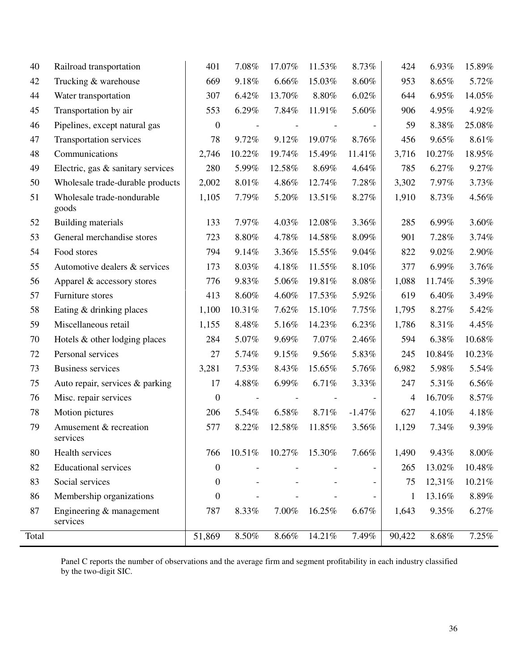| 40    | Railroad transportation              | 401              | 7.08%  | 17.07% | 11.53% | 8.73%                    | 424          | 6.93%  | 15.89%   |
|-------|--------------------------------------|------------------|--------|--------|--------|--------------------------|--------------|--------|----------|
| 42    | Trucking & warehouse                 | 669              | 9.18%  | 6.66%  | 15.03% | 8.60%                    | 953          | 8.65%  | 5.72%    |
| 44    | Water transportation                 | 307              | 6.42%  | 13.70% | 8.80%  | 6.02%                    | 644          | 6.95%  | 14.05%   |
| 45    | Transportation by air                | 553              | 6.29%  | 7.84%  | 11.91% | 5.60%                    | 906          | 4.95%  | 4.92%    |
| 46    | Pipelines, except natural gas        | $\boldsymbol{0}$ |        |        |        | $\overline{\phantom{a}}$ | 59           | 8.38%  | 25.08%   |
| 47    | Transportation services              | 78               | 9.72%  | 9.12%  | 19.07% | 8.76%                    | 456          | 9.65%  | 8.61%    |
| 48    | Communications                       | 2,746            | 10.22% | 19.74% | 15.49% | 11.41%                   | 3,716        | 10.27% | 18.95%   |
| 49    | Electric, gas & sanitary services    | 280              | 5.99%  | 12.58% | 8.69%  | 4.64%                    | 785          | 6.27%  | 9.27%    |
| 50    | Wholesale trade-durable products     | 2,002            | 8.01%  | 4.86%  | 12.74% | 7.28%                    | 3,302        | 7.97%  | 3.73%    |
| 51    | Wholesale trade-nondurable<br>goods  | 1,105            | 7.79%  | 5.20%  | 13.51% | 8.27%                    | 1,910        | 8.73%  | 4.56%    |
| 52    | Building materials                   | 133              | 7.97%  | 4.03%  | 12.08% | 3.36%                    | 285          | 6.99%  | 3.60%    |
| 53    | General merchandise stores           | 723              | 8.80%  | 4.78%  | 14.58% | 8.09%                    | 901          | 7.28%  | 3.74%    |
| 54    | Food stores                          | 794              | 9.14%  | 3.36%  | 15.55% | 9.04%                    | 822          | 9.02%  | 2.90%    |
| 55    | Automotive dealers & services        | 173              | 8.03%  | 4.18%  | 11.55% | 8.10%                    | 377          | 6.99%  | 3.76%    |
| 56    | Apparel & accessory stores           | 776              | 9.83%  | 5.06%  | 19.81% | 8.08%                    | 1,088        | 11.74% | 5.39%    |
| 57    | Furniture stores                     | 413              | 8.60%  | 4.60%  | 17.53% | 5.92%                    | 619          | 6.40%  | 3.49%    |
| 58    | Eating & drinking places             | 1,100            | 10.31% | 7.62%  | 15.10% | 7.75%                    | 1,795        | 8.27%  | 5.42%    |
| 59    | Miscellaneous retail                 | 1,155            | 8.48%  | 5.16%  | 14.23% | 6.23%                    | 1,786        | 8.31%  | 4.45%    |
| 70    | Hotels & other lodging places        | 284              | 5.07%  | 9.69%  | 7.07%  | 2.46%                    | 594          | 6.38%  | 10.68%   |
| 72    | Personal services                    | 27               | 5.74%  | 9.15%  | 9.56%  | 5.83%                    | 245          | 10.84% | 10.23%   |
| 73    | <b>Business services</b>             | 3,281            | 7.53%  | 8.43%  | 15.65% | 5.76%                    | 6,982        | 5.98%  | 5.54%    |
| 75    | Auto repair, services & parking      | 17               | 4.88%  | 6.99%  | 6.71%  | 3.33%                    | 247          | 5.31%  | 6.56%    |
| 76    | Misc. repair services                | $\boldsymbol{0}$ |        |        |        | $\overline{\phantom{a}}$ | 4            | 16.70% | 8.57%    |
| 78    | Motion pictures                      | 206              | 5.54%  | 6.58%  | 8.71%  | $-1.47\%$                | 627          | 4.10%  | 4.18%    |
| 79    | Amusement & recreation<br>services   | 577              | 8.22%  | 12.58% | 11.85% | 3.56%                    | 1,129        | 7.34%  | 9.39%    |
| 80    | Health services                      | 766              | 10.51% | 10.27% | 15.30% | 7.66%                    | 1,490        | 9.43%  | $8.00\%$ |
| 82    | <b>Educational services</b>          | $\boldsymbol{0}$ |        |        |        |                          | 265          | 13.02% | 10.48%   |
| 83    | Social services                      | $\boldsymbol{0}$ |        |        |        |                          | 75           | 12,31% | 10.21%   |
| 86    | Membership organizations             | $\boldsymbol{0}$ |        |        |        | $\overline{\phantom{a}}$ | $\mathbf{1}$ | 13.16% | 8.89%    |
| 87    | Engineering & management<br>services | 787              | 8.33%  | 7.00%  | 16.25% | 6.67%                    | 1,643        | 9.35%  | 6.27%    |
| Total |                                      | 51,869           | 8.50%  | 8.66%  | 14.21% | 7.49%                    | 90,422       | 8.68%  | 7.25%    |

Panel C reports the number of observations and the average firm and segment profitability in each industry classified by the two-digit SIC.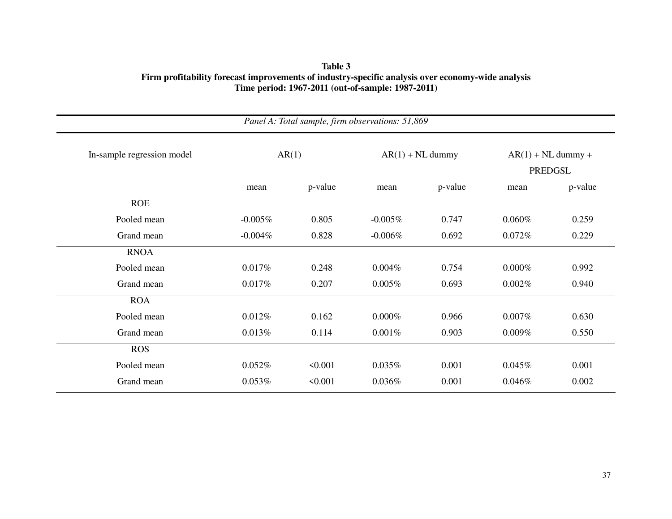| Panel A: Total sample, firm observations: 51,869 |            |         |            |                    |                                        |         |  |  |  |
|--------------------------------------------------|------------|---------|------------|--------------------|----------------------------------------|---------|--|--|--|
| In-sample regression model                       | AR(1)      |         |            | $AR(1) + NL$ dummy | $AR(1) + NL$ dummy +<br><b>PREDGSL</b> |         |  |  |  |
|                                                  | mean       | p-value | mean       | p-value            | mean                                   | p-value |  |  |  |
| <b>ROE</b>                                       |            |         |            |                    |                                        |         |  |  |  |
| Pooled mean                                      | $-0.005\%$ | 0.805   | $-0.005\%$ | 0.747              | $0.060\%$                              | 0.259   |  |  |  |
| Grand mean                                       | $-0.004\%$ | 0.828   | $-0.006%$  | 0.692              | 0.072%                                 | 0.229   |  |  |  |
| <b>RNOA</b>                                      |            |         |            |                    |                                        |         |  |  |  |
| Pooled mean                                      | 0.017%     | 0.248   | 0.004%     | 0.754              | $0.000\%$                              | 0.992   |  |  |  |
| Grand mean                                       | 0.017%     | 0.207   | $0.005\%$  | 0.693              | 0.002%                                 | 0.940   |  |  |  |
| <b>ROA</b>                                       |            |         |            |                    |                                        |         |  |  |  |
| Pooled mean                                      | 0.012%     | 0.162   | $0.000\%$  | 0.966              | $0.007\%$                              | 0.630   |  |  |  |
| Grand mean                                       | 0.013%     | 0.114   | 0.001%     | 0.903              | $0.009\%$                              | 0.550   |  |  |  |
| <b>ROS</b>                                       |            |         |            |                    |                                        |         |  |  |  |
| Pooled mean                                      | 0.052%     | < 0.001 | 0.035%     | 0.001              | 0.045%                                 | 0.001   |  |  |  |
| Grand mean                                       | 0.053%     | < 0.001 | 0.036%     | 0.001              | 0.046%                                 | 0.002   |  |  |  |

**Table 3 Firm profitability forecast improvements of industry-specific analysis over economy-wide analysis Time period: 1967-2011 (out-of-sample: 1987-2011)**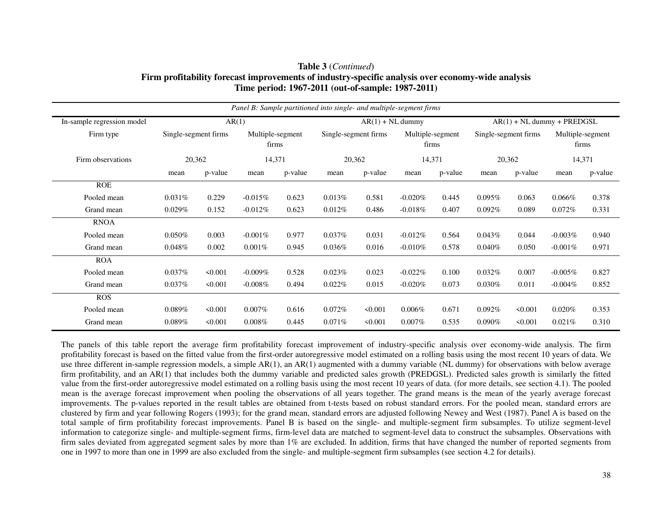| Panel B: Sample partitioned into single- and multiple-segment firms |                      |         |                           |         |           |                      |            |                  |                              |                      |            |                           |
|---------------------------------------------------------------------|----------------------|---------|---------------------------|---------|-----------|----------------------|------------|------------------|------------------------------|----------------------|------------|---------------------------|
| In-sample regression model                                          |                      |         | AR(1)                     |         |           | $AR(1) + NL$ dummy   |            |                  | $AR(1) + NL$ dummy + PREDGSL |                      |            |                           |
| Firm type                                                           | Single-segment firms |         | Multiple-segment<br>firms |         |           | Single-segment firms | firms      | Multiple-segment |                              | Single-segment firms |            | Multiple-segment<br>firms |
| Firm observations                                                   | 20,362               |         | 14,371                    |         |           | 20,362               | 14,371     |                  |                              | 20,362               |            | 14,371                    |
|                                                                     | mean                 | p-value | mean                      | p-value | mean      | p-value              | mean       | p-value          | mean                         | p-value              | mean       | p-value                   |
| <b>ROE</b>                                                          |                      |         |                           |         |           |                      |            |                  |                              |                      |            |                           |
| Pooled mean                                                         | 0.031%               | 0.229   | $-0.015%$                 | 0.623   | 0.013%    | 0.581                | $-0.020%$  | 0.445            | $0.095\%$                    | 0.063                | $0.066\%$  | 0.378                     |
| Grand mean                                                          | 0.029%               | 0.152   | $-0.012\%$                | 0.623   | 0.012%    | 0.486                | $-0.018\%$ | 0.407            | $0.092\%$                    | 0.089                | $0.072\%$  | 0.331                     |
| <b>RNOA</b>                                                         |                      |         |                           |         |           |                      |            |                  |                              |                      |            |                           |
| Pooled mean                                                         | 0.050%               | 0.003   | $-0.001\%$                | 0.977   | 0.037%    | 0.031                | $-0.012%$  | 0.564            | 0.043%                       | 0.044                | $-0.003%$  | 0.940                     |
| Grand mean                                                          | 0.048%               | 0.002   | $0.001\%$                 | 0.945   | $0.036\%$ | 0.016                | $-0.010\%$ | 0.578            | $0.040\%$                    | 0.050                | $-0.001\%$ | 0.971                     |
| <b>ROA</b>                                                          |                      |         |                           |         |           |                      |            |                  |                              |                      |            |                           |
| Pooled mean                                                         | 0.037%               | < 0.001 | $-0.009\%$                | 0.528   | $0.023\%$ | 0.023                | $-0.022%$  | 0.100            | 0.032%                       | 0.007                | $-0.005%$  | 0.827                     |
| Grand mean                                                          | $0.037\%$            | < 0.001 | $-0.008\%$                | 0.494   | $0.022\%$ | 0.015                | $-0.020\%$ | 0.073            | $0.030\%$                    | 0.011                | $-0.004\%$ | 0.852                     |
| <b>ROS</b>                                                          |                      |         |                           |         |           |                      |            |                  |                              |                      |            |                           |
| Pooled mean                                                         | 0.089%               | 50.001  | $0.007\%$                 | 0.616   | $0.072\%$ | 50.001               | $0.006\%$  | 0.671            | $0.092\%$                    | < 0.001              | 0.020%     | 0.353                     |
| Grand mean                                                          | $0.089\%$            | < 0.001 | $0.008\%$                 | 0.445   | $0.071\%$ | < 0.001              | $0.007\%$  | 0.535            | $0.090\%$                    | $\leq 0.001$         | 0.021%     | 0.310                     |

# **Table 3** (*Continued*) **Firm profitability forecast improvements of industry-specific analysis over economy-wide analysis Time period: 1967-2011 (out-of-sample: 1987-2011)**

The panels of this table report the average firm profitability forecast improvement of industry-specific analysis over economy-wide analysis. The firm profitability forecast is based on the fitted value from the first-order autoregressive model estimated on a rolling basis using the most recent 10 years of data. We use three different in-sample regression models, a simple  $AR(1)$ , an  $AR(1)$  augmented with a dummy variable (NL dummy) for observations with below average firm profitability, and an AR(1) that includes both the dummy variable and predicted sales growth (PREDGSL). Predicted sales growth is similarly the fitted value from the first-order autoregressive model estimated on a rolling basis using the most recent 10 years of data. (for more details, see section 4.1). The pooled mean is the average forecast improvement when pooling the observations of all years together. The grand means is the mean of the yearly average forecast improvements. The p-values reported in the result tables are obtained from t-tests based on robust standard errors. For the pooled mean, standard errors are clustered by firm and year following Rogers (1993); for the grand mean, standard errors are adjusted following Newey and West (1987). Panel A is based on the total sample of firm profitability forecast improvements. Panel B is based on the single- and multiple-segment firm subsamples. To utilize segment-level information to categorize single- and multiple-segment firms, firm-level data are matched to segment-level data to construct the subsamples. Observations with firm sales deviated from aggregated segment sales by more than 1% are excluded. In addition, firms that have changed the number of reported segments from one in 1997 to more than one in 1999 are also excluded from the single- and multiple-segment firm subsamples (see section 4.2 for details).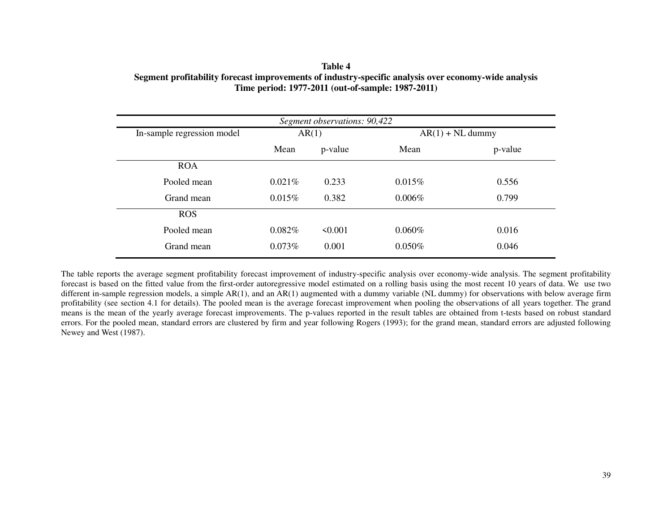| Table 4                                                                                              |
|------------------------------------------------------------------------------------------------------|
| Segment profitability forecast improvements of industry-specific analysis over economy-wide analysis |
| Time period: 1977-2011 (out-of-sample: 1987-2011)                                                    |

| Segment observations: 90,422 |        |              |           |                    |  |  |  |  |  |
|------------------------------|--------|--------------|-----------|--------------------|--|--|--|--|--|
| In-sample regression model   |        | AR(1)        |           | $AR(1) + NL$ dummy |  |  |  |  |  |
|                              | Mean   | p-value      | Mean      | p-value            |  |  |  |  |  |
| <b>ROA</b>                   |        |              |           |                    |  |  |  |  |  |
| Pooled mean                  | 0.021% | 0.233        | 0.015%    | 0.556              |  |  |  |  |  |
| Grand mean                   | 0.015% | 0.382        | $0.006\%$ | 0.799              |  |  |  |  |  |
| <b>ROS</b>                   |        |              |           |                    |  |  |  |  |  |
| Pooled mean                  | 0.082% | $\leq 0.001$ | $0.060\%$ | 0.016              |  |  |  |  |  |
| Grand mean                   | 0.073% | 0.001        | 0.050%    | 0.046              |  |  |  |  |  |

The table reports the average segment profitability forecast improvement of industry-specific analysis over economy-wide analysis. The segment profitability forecast is based on the fitted value from the first-order autoregressive model estimated on a rolling basis using the most recent 10 years of data. We use two different in-sample regression models, a simple AR(1), and an AR(1) augmented with a dummy variable (NL dummy) for observations with below average firm profitability (see section 4.1 for details). The pooled mean is the average forecast improvement when pooling the observations of all years together. The grand means is the mean of the yearly average forecast improvements. The p-values reported in the result tables are obtained from t-tests based on robust standard errors. For the pooled mean, standard errors are clustered by firm and year following Rogers (1993); for the grand mean, standard errors are adjusted following Newey and West (1987).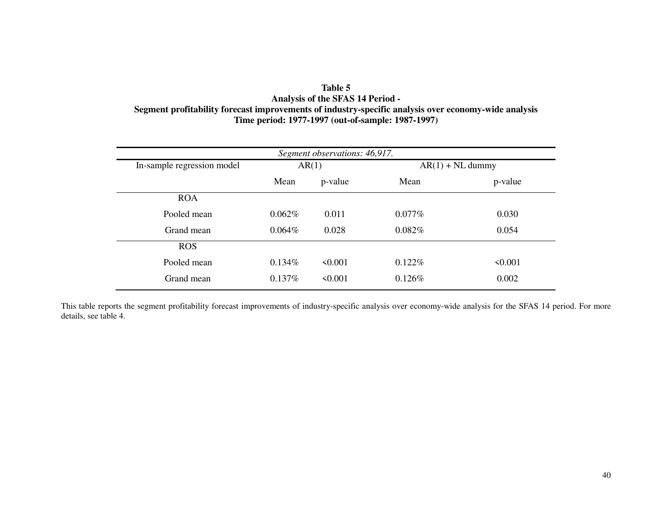# **Table 5 Analysis of the SFAS 14 Period - Segment profitability forecast improvements of industry-specific analysis over economy-wide analysis Time period: 1977-1997 (out-of-sample: 1987-1997)**

| Segment observations: 46,917. |           |              |           |                    |  |  |  |  |  |
|-------------------------------|-----------|--------------|-----------|--------------------|--|--|--|--|--|
| In-sample regression model    |           | AR(1)        |           | $AR(1) + NL$ dummy |  |  |  |  |  |
|                               | Mean      | p-value      | Mean      | p-value            |  |  |  |  |  |
| <b>ROA</b>                    |           |              |           |                    |  |  |  |  |  |
| Pooled mean                   | 0.062%    | 0.011        | $0.077\%$ | 0.030              |  |  |  |  |  |
| Grand mean                    | $0.064\%$ | 0.028        | 0.082%    | 0.054              |  |  |  |  |  |
| <b>ROS</b>                    |           |              |           |                    |  |  |  |  |  |
| Pooled mean                   | 0.134%    | $\leq 0.001$ | 0.122%    | $\leq 0.001$       |  |  |  |  |  |
| Grand mean                    | 0.137%    | $\leq 0.001$ | 0.126%    | 0.002              |  |  |  |  |  |

This table reports the segment profitability forecast improvements of industry-specific analysis over economy-wide analysis for the SFAS 14 period. For more details, see table 4.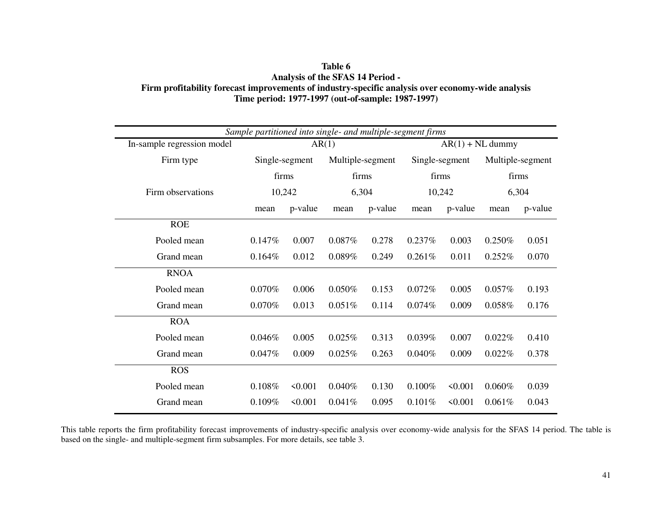| Table 6                                                                                           |
|---------------------------------------------------------------------------------------------------|
| <b>Analysis of the SFAS 14 Period -</b>                                                           |
| Firm profitability forecast improvements of industry-specific analysis over economy-wide analysis |
| Time period: 1977-1997 (out-of-sample: 1987-1997)                                                 |

| Sample partitioned into single- and multiple-segment firms |           |                |        |                  |                    |                |                  |         |  |
|------------------------------------------------------------|-----------|----------------|--------|------------------|--------------------|----------------|------------------|---------|--|
| In-sample regression model                                 |           |                | AR(1)  |                  | $AR(1) + NL$ dummy |                |                  |         |  |
| Firm type                                                  |           | Single-segment |        | Multiple-segment |                    | Single-segment | Multiple-segment |         |  |
|                                                            | firms     |                | firms  |                  | firms              |                | firms            |         |  |
| Firm observations                                          | 10,242    |                | 6,304  |                  | 10,242             |                | 6,304            |         |  |
|                                                            | mean      | p-value        | mean   | p-value          | mean               | p-value        | mean             | p-value |  |
| <b>ROE</b>                                                 |           |                |        |                  |                    |                |                  |         |  |
| Pooled mean                                                | 0.147%    | 0.007          | 0.087% | 0.278            | 0.237%             | 0.003          | 0.250%           | 0.051   |  |
| Grand mean                                                 | 0.164%    | 0.012          | 0.089% | 0.249            | 0.261%             | 0.011          | 0.252%           | 0.070   |  |
| <b>RNOA</b>                                                |           |                |        |                  |                    |                |                  |         |  |
| Pooled mean                                                | $0.070\%$ | 0.006          | 0.050% | 0.153            | 0.072%             | 0.005          | 0.057%           | 0.193   |  |
| Grand mean                                                 | 0.070%    | 0.013          | 0.051% | 0.114            | 0.074%             | 0.009          | 0.058%           | 0.176   |  |
| <b>ROA</b>                                                 |           |                |        |                  |                    |                |                  |         |  |
| Pooled mean                                                | 0.046%    | 0.005          | 0.025% | 0.313            | 0.039%             | 0.007          | 0.022%           | 0.410   |  |
| Grand mean                                                 | 0.047%    | 0.009          | 0.025% | 0.263            | 0.040%             | 0.009          | 0.022%           | 0.378   |  |
| <b>ROS</b>                                                 |           |                |        |                  |                    |                |                  |         |  |
| Pooled mean                                                | 0.108%    | < 0.001        | 0.040% | 0.130            | 0.100%             | < 0.001        | $0.060\%$        | 0.039   |  |
| Grand mean                                                 | 0.109%    | < 0.001        | 0.041% | 0.095            | 0.101%             | < 0.001        | 0.061%           | 0.043   |  |

This table reports the firm profitability forecast improvements of industry-specific analysis over economy-wide analysis for the SFAS 14 period. The table is based on the single- and multiple-segment firm subsamples. For more details, see table 3.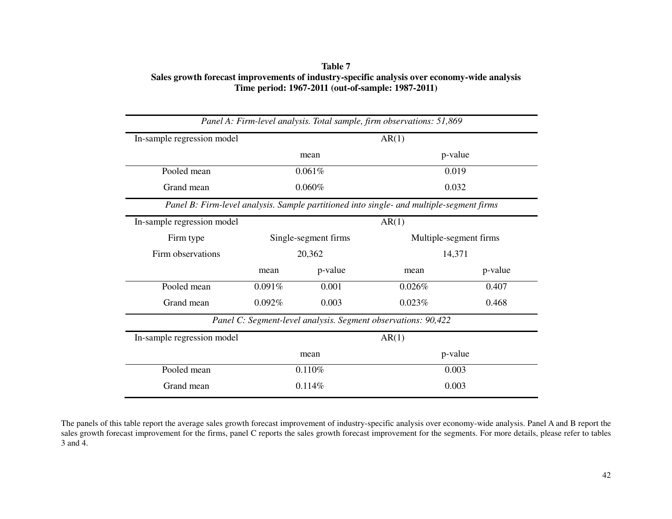| Table 7                                                                                     |
|---------------------------------------------------------------------------------------------|
| Sales growth forecast improvements of industry-specific analysis over economy-wide analysis |
| Time period: 1967-2011 (out-of-sample: 1987-2011)                                           |

| Panel A: Firm-level analysis. Total sample, firm observations: 51,869                    |                      |         |                        |         |  |  |  |  |
|------------------------------------------------------------------------------------------|----------------------|---------|------------------------|---------|--|--|--|--|
| In-sample regression model                                                               | AR(1)                |         |                        |         |  |  |  |  |
|                                                                                          | mean                 |         | p-value                |         |  |  |  |  |
| Pooled mean                                                                              | 0.061%               |         | 0.019                  |         |  |  |  |  |
| Grand mean                                                                               | 0.060%               |         | 0.032                  |         |  |  |  |  |
| Panel B: Firm-level analysis. Sample partitioned into single- and multiple-segment firms |                      |         |                        |         |  |  |  |  |
| In-sample regression model                                                               | AR(1)                |         |                        |         |  |  |  |  |
| Firm type                                                                                | Single-segment firms |         | Multiple-segment firms |         |  |  |  |  |
| Firm observations                                                                        | 20,362               |         | 14,371                 |         |  |  |  |  |
|                                                                                          | mean                 | p-value | mean                   | p-value |  |  |  |  |
| Pooled mean                                                                              | 0.091%               | 0.001   | 0.026%                 | 0.407   |  |  |  |  |
| Grand mean                                                                               | 0.092%               | 0.003   | 0.023%                 | 0.468   |  |  |  |  |
| Panel C: Segment-level analysis. Segment observations: 90,422                            |                      |         |                        |         |  |  |  |  |
| In-sample regression model                                                               | AR(1)                |         |                        |         |  |  |  |  |
|                                                                                          | mean                 |         | p-value                |         |  |  |  |  |
| Pooled mean                                                                              | 0.110%               |         | 0.003                  |         |  |  |  |  |
| Grand mean                                                                               | 0.114%               |         | 0.003                  |         |  |  |  |  |

The panels of this table report the average sales growth forecast improvement of industry-specific analysis over economy-wide analysis. Panel A and B report the sales growth forecast improvement for the firms, panel C reports the sales growth forecast improvement for the segments. For more details, please refer to tables 3 and 4.